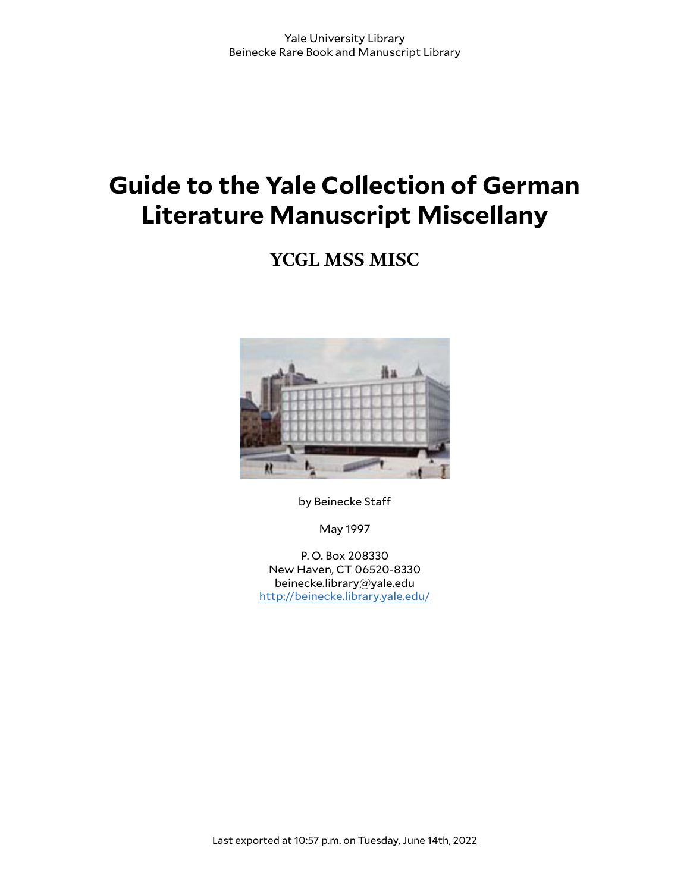# **Guide to the Yale Collection of German Literature Manuscript Miscellany**

## **YCGL MSS MISC**



by Beinecke Sta

May 1997

P. O. Box 208330 New Haven, CT 06520-8330 beinecke.library@yale.edu <http://beinecke.library.yale.edu/>

Last exported at 10:57 p.m. on Tuesday, June 14th, 2022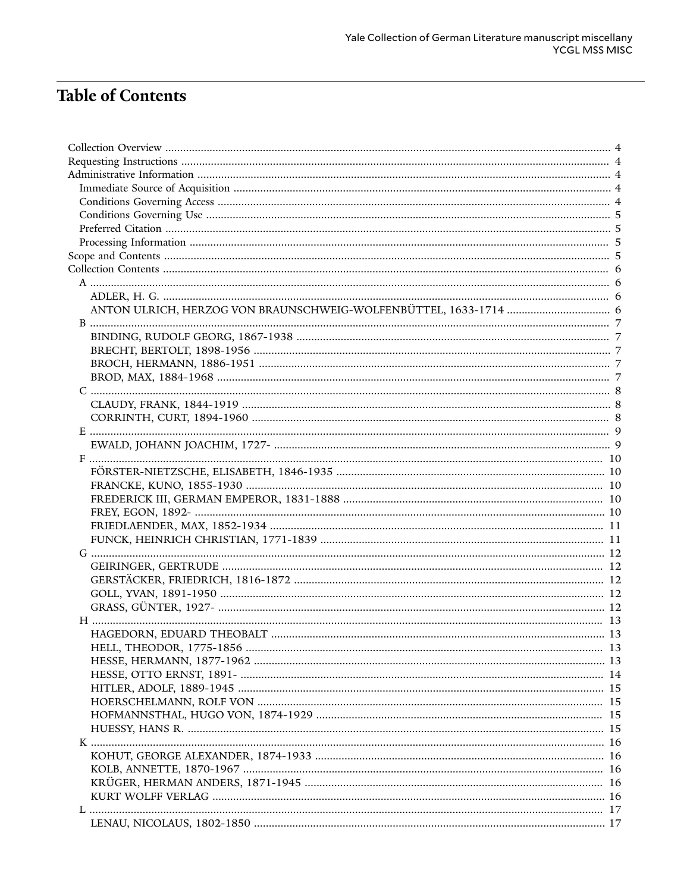## **Table of Contents**

| HELL, THEODOR, 1775-1856<br>$\sim$ 13 |  |
|---------------------------------------|--|
|                                       |  |
|                                       |  |
|                                       |  |
|                                       |  |
|                                       |  |
|                                       |  |
|                                       |  |
|                                       |  |
|                                       |  |
|                                       |  |
|                                       |  |
|                                       |  |
|                                       |  |
|                                       |  |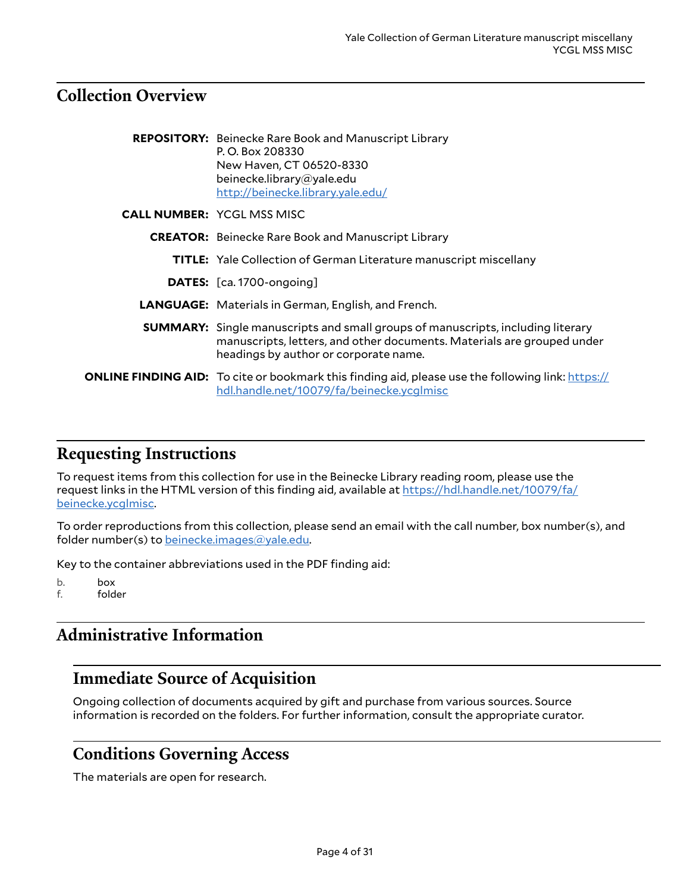## <span id="page-3-0"></span>**Collection Overview**

| <b>REPOSITORY:</b> Beinecke Rare Book and Manuscript Library<br>P.O. Box 208330<br>New Haven, CT 06520-8330<br>beinecke.library@yale.edu<br>http://beinecke.library.yale.edu/                             |
|-----------------------------------------------------------------------------------------------------------------------------------------------------------------------------------------------------------|
| <b>CALL NUMBER: YCGL MSS MISC</b>                                                                                                                                                                         |
| <b>CREATOR:</b> Beinecke Rare Book and Manuscript Library                                                                                                                                                 |
| <b>TITLE:</b> Yale Collection of German Literature manuscript miscellany                                                                                                                                  |
| <b>DATES:</b> [ca. 1700-ongoing]                                                                                                                                                                          |
| <b>LANGUAGE:</b> Materials in German, English, and French.                                                                                                                                                |
| <b>SUMMARY:</b> Single manuscripts and small groups of manuscripts, including literary<br>manuscripts, letters, and other documents. Materials are grouped under<br>headings by author or corporate name. |
| <b>ONLINE FINDING AID:</b> To cite or bookmark this finding aid, please use the following link: https://<br>hdl.handle.net/10079/fa/beinecke.ycglmisc                                                     |

## <span id="page-3-1"></span>**Requesting Instructions**

To request items from this collection for use in the Beinecke Library reading room, please use the request links in the HTML version of this finding aid, available at [https://hdl.handle.net/10079/fa/](https://hdl.handle.net/10079/fa/beinecke.ycglmisc) [beinecke.ycglmisc.](https://hdl.handle.net/10079/fa/beinecke.ycglmisc)

To order reproductions from this collection, please send an email with the call number, box number(s), and folder number(s) to [beinecke.images@yale.edu.](mailto:beinecke.images@yale.edu)

Key to the container abbreviations used in the PDF finding aid:

b. box f. folder

## <span id="page-3-2"></span>**Administrative Information**

## <span id="page-3-3"></span>**Immediate Source of Acquisition**

Ongoing collection of documents acquired by gift and purchase from various sources. Source information is recorded on the folders. For further information, consult the appropriate curator.

## <span id="page-3-4"></span>**Conditions Governing Access**

The materials are open for research.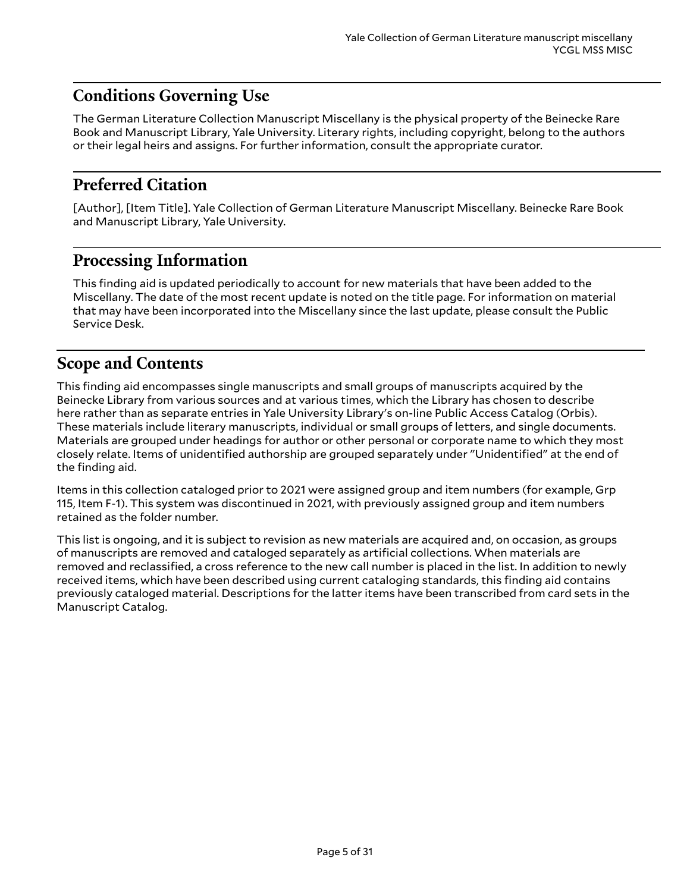## <span id="page-4-0"></span>**Conditions Governing Use**

The German Literature Collection Manuscript Miscellany is the physical property of the Beinecke Rare Book and Manuscript Library, Yale University. Literary rights, including copyright, belong to the authors or their legal heirs and assigns. For further information, consult the appropriate curator.

## <span id="page-4-1"></span>**Preferred Citation**

[Author], [Item Title]. Yale Collection of German Literature Manuscript Miscellany. Beinecke Rare Book and Manuscript Library, Yale University.

## <span id="page-4-2"></span>**Processing Information**

This finding aid is updated periodically to account for new materials that have been added to the Miscellany. The date of the most recent update is noted on the title page. For information on material that may have been incorporated into the Miscellany since the last update, please consult the Public Service Desk.

## <span id="page-4-3"></span>**Scope and Contents**

This finding aid encompasses single manuscripts and small groups of manuscripts acquired by the Beinecke Library from various sources and at various times, which the Library has chosen to describe here rather than as separate entries in Yale University Library's on-line Public Access Catalog (Orbis). These materials include literary manuscripts, individual or small groups of letters, and single documents. Materials are grouped under headings for author or other personal or corporate name to which they most closely relate. Items of unidentified authorship are grouped separately under "Unidentified" at the end of the finding aid.

Items in this collection cataloged prior to 2021 were assigned group and item numbers (for example, Grp 115, Item F-1). This system was discontinued in 2021, with previously assigned group and item numbers retained as the folder number.

This list is ongoing, and it is subject to revision as new materials are acquired and, on occasion, as groups of manuscripts are removed and cataloged separately as artificial collections. When materials are removed and reclassified, a cross reference to the new call number is placed in the list. In addition to newly received items, which have been described using current cataloging standards, this finding aid contains previously cataloged material. Descriptions for the latter items have been transcribed from card sets in the Manuscript Catalog.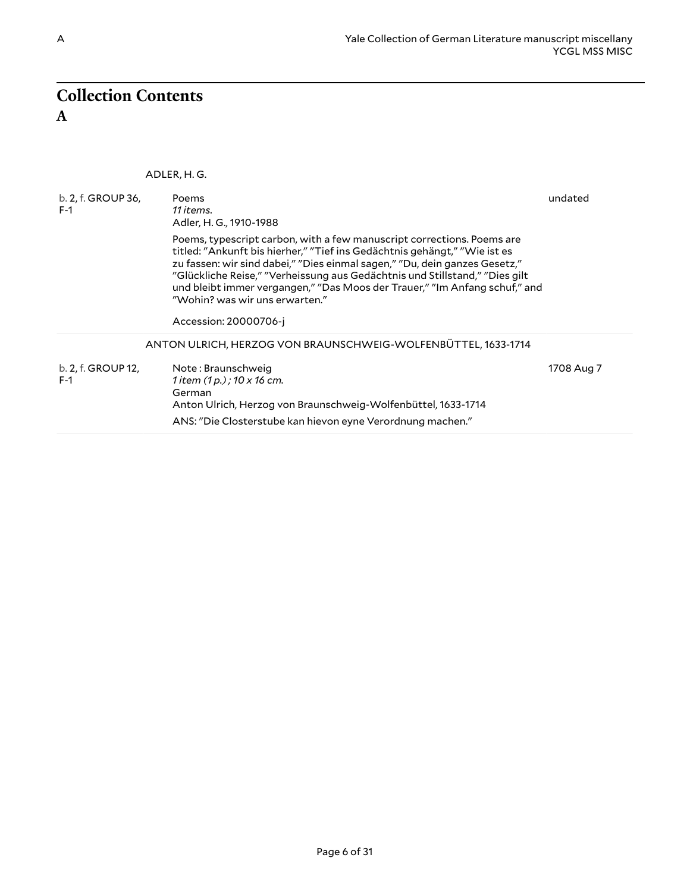## <span id="page-5-1"></span><span id="page-5-0"></span>**Collection Contents A**

<span id="page-5-3"></span><span id="page-5-2"></span>ADLER, H. G.

| b. 2, f. GROUP 36,<br>$F-1$ | Poems<br>11 items.<br>Adler, H. G., 1910-1988                                                                                                                                                                                                                                                                                                                                                                                                             | undated    |
|-----------------------------|-----------------------------------------------------------------------------------------------------------------------------------------------------------------------------------------------------------------------------------------------------------------------------------------------------------------------------------------------------------------------------------------------------------------------------------------------------------|------------|
|                             | Poems, typescript carbon, with a few manuscript corrections. Poems are<br>titled: "Ankunft bis hierher," "Tief ins Gedächtnis gehängt," "Wie ist es<br>zu fassen: wir sind dabei," "Dies einmal sagen," "Du, dein ganzes Gesetz,"<br>"Glückliche Reise," "Verheissung aus Gedächtnis und Stillstand," "Dies gilt<br>und bleibt immer vergangen," "Das Moos der Trauer," "Im Anfang schuf," and<br>"Wohin? was wir uns erwarten."<br>Accession: 20000706-i |            |
|                             | ANTON ULRICH, HERZOG VON BRAUNSCHWEIG-WOLFENBÜTTEL, 1633-1714                                                                                                                                                                                                                                                                                                                                                                                             |            |
| b. 2, f. GROUP 12,<br>$F-1$ | Note: Braunschweig<br>1 item $(1 p. )$ ; 10 x 16 cm.<br>German<br>Anton Ulrich, Herzog von Braunschweig-Wolfenbüttel, 1633-1714                                                                                                                                                                                                                                                                                                                           | 1708 Aug 7 |
|                             | ANS: "Die Closterstube kan hievon eyne Verordnung machen."                                                                                                                                                                                                                                                                                                                                                                                                |            |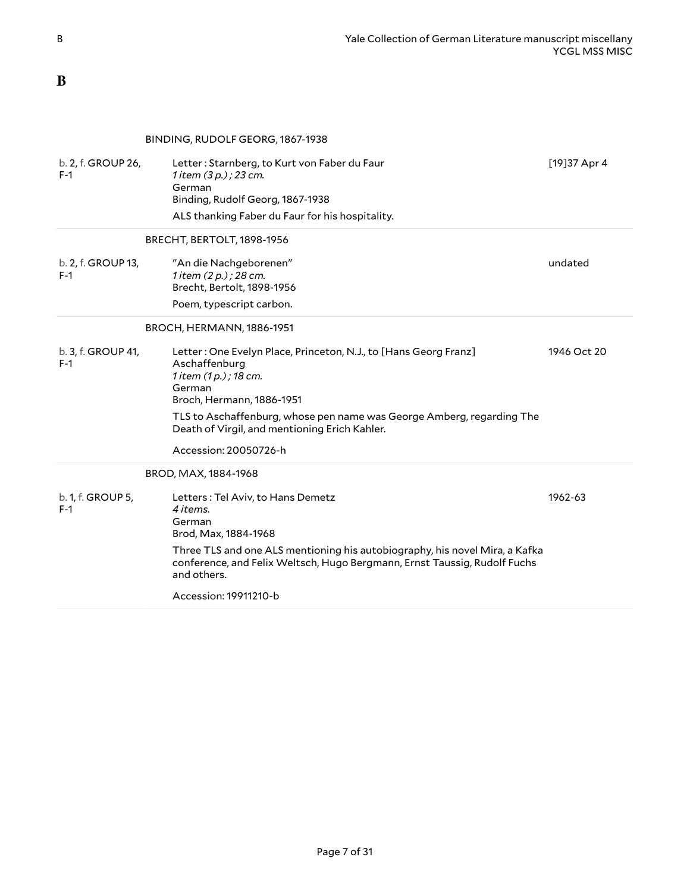### <span id="page-6-0"></span>**B**

#### <span id="page-6-2"></span><span id="page-6-1"></span>BINDING, RUDOLF GEORG, 1867-1938

<span id="page-6-4"></span><span id="page-6-3"></span>

| b. 2, f. GROUP 26,<br>$F-1$ | Letter: Starnberg, to Kurt von Faber du Faur<br>1 item $(3 p.)$ ; 23 cm.<br>German<br>Binding, Rudolf Georg, 1867-1938                                                  | [19] 37 Apr 4 |
|-----------------------------|-------------------------------------------------------------------------------------------------------------------------------------------------------------------------|---------------|
|                             | ALS thanking Faber du Faur for his hospitality.                                                                                                                         |               |
|                             | BRECHT, BERTOLT, 1898-1956                                                                                                                                              |               |
| b. 2, f. GROUP 13,<br>$F-1$ | "An die Nachgeborenen"<br>1 item (2 p.) ; 28 cm.<br>Brecht, Bertolt, 1898-1956                                                                                          | undated       |
|                             | Poem, typescript carbon.                                                                                                                                                |               |
|                             | BROCH, HERMANN, 1886-1951                                                                                                                                               |               |
| b. 3, f. GROUP 41,<br>$F-1$ | Letter: One Evelyn Place, Princeton, N.J., to [Hans Georg Franz]<br>Aschaffenburg<br>1 item (1 p.) ; 18 cm.<br>German<br>Broch, Hermann, 1886-1951                      | 1946 Oct 20   |
|                             | TLS to Aschaffenburg, whose pen name was George Amberg, regarding The<br>Death of Virgil, and mentioning Erich Kahler.                                                  |               |
|                             | Accession: 20050726-h                                                                                                                                                   |               |
|                             | BROD, MAX, 1884-1968                                                                                                                                                    |               |
| b. 1, f. GROUP 5,<br>$F-1$  | Letters: Tel Aviv, to Hans Demetz<br>4 items.<br>German<br>Brod, Max, 1884-1968                                                                                         | 1962-63       |
|                             | Three TLS and one ALS mentioning his autobiography, his novel Mira, a Kafka<br>conference, and Felix Weltsch, Hugo Bergmann, Ernst Taussig, Rudolf Fuchs<br>and others. |               |
|                             | Accession: 19911210-b                                                                                                                                                   |               |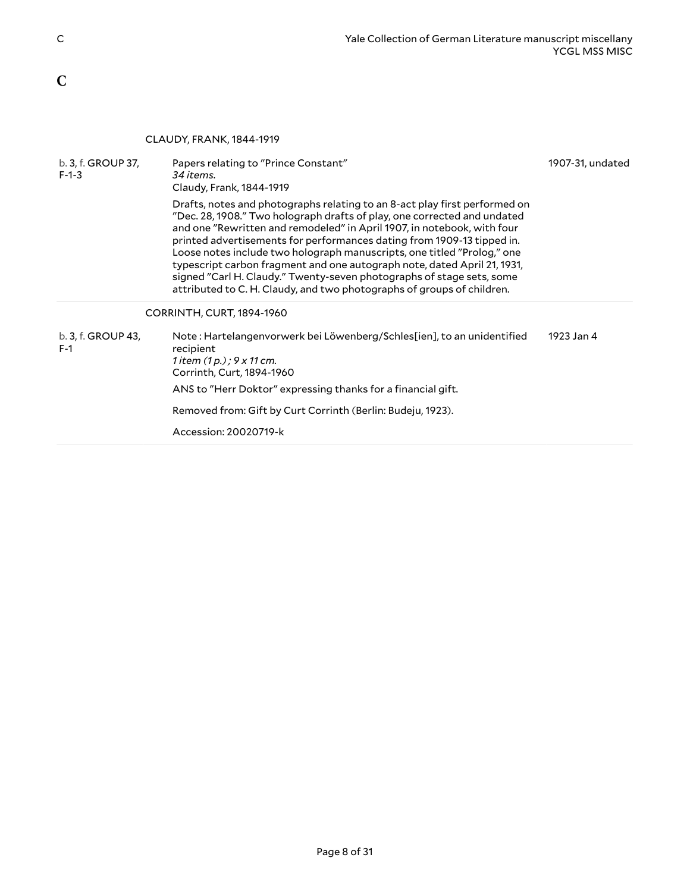## <span id="page-7-0"></span>**C**

#### <span id="page-7-1"></span>CLAUDY, FRANK, 1844-1919

<span id="page-7-2"></span>

| b. 3, f. GROUP 37,<br>$F-1-3$ | Papers relating to "Prince Constant"<br>34 items.<br>Claudy, Frank, 1844-1919                                                                                                                                                                                                                                                                                                                                                                                                                                                                                                                                         | 1907-31, undated |
|-------------------------------|-----------------------------------------------------------------------------------------------------------------------------------------------------------------------------------------------------------------------------------------------------------------------------------------------------------------------------------------------------------------------------------------------------------------------------------------------------------------------------------------------------------------------------------------------------------------------------------------------------------------------|------------------|
|                               | Drafts, notes and photographs relating to an 8-act play first performed on<br>"Dec. 28, 1908." Two holograph drafts of play, one corrected and undated<br>and one "Rewritten and remodeled" in April 1907, in notebook, with four<br>printed advertisements for performances dating from 1909-13 tipped in.<br>Loose notes include two holograph manuscripts, one titled "Prolog," one<br>typescript carbon fragment and one autograph note, dated April 21, 1931,<br>signed "Carl H. Claudy." Twenty-seven photographs of stage sets, some<br>attributed to C. H. Claudy, and two photographs of groups of children. |                  |
|                               | CORRINTH, CURT, 1894-1960                                                                                                                                                                                                                                                                                                                                                                                                                                                                                                                                                                                             |                  |
| b. 3, f. GROUP 43,<br>$F-1$   | Note: Hartelangenvorwerk bei Löwenberg/Schles[ien], to an unidentified<br>recipient<br>1 item (1 p.) ; 9 x 11 cm.<br>Corrinth, Curt, 1894-1960                                                                                                                                                                                                                                                                                                                                                                                                                                                                        | 1923 Jan 4       |
|                               | ANS to "Herr Doktor" expressing thanks for a financial gift.                                                                                                                                                                                                                                                                                                                                                                                                                                                                                                                                                          |                  |
|                               | Removed from: Gift by Curt Corrinth (Berlin: Budeju, 1923).                                                                                                                                                                                                                                                                                                                                                                                                                                                                                                                                                           |                  |
|                               | Accession: 20020719-k                                                                                                                                                                                                                                                                                                                                                                                                                                                                                                                                                                                                 |                  |
|                               |                                                                                                                                                                                                                                                                                                                                                                                                                                                                                                                                                                                                                       |                  |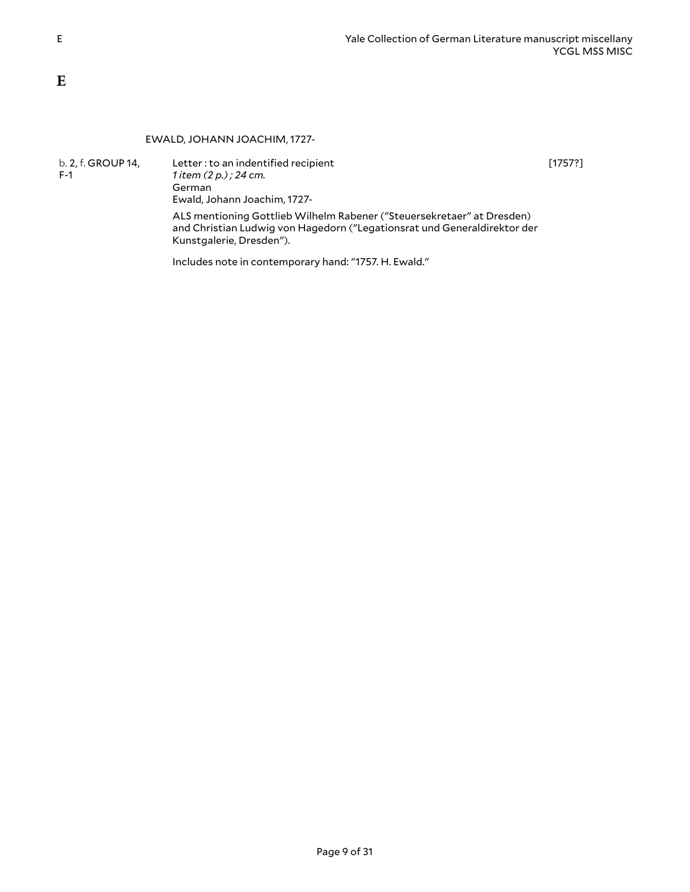#### <span id="page-8-1"></span>EWALD, JOHANN JOACHIM, 1727-

| b. 2, f. GROUP 14,<br>$F-1$ | Letter: to an indentified recipient<br>1 item (2 p.) ; 24 cm.<br>German<br>Ewald, Johann Joachim, 1727-                                                                        | [1757?] |
|-----------------------------|--------------------------------------------------------------------------------------------------------------------------------------------------------------------------------|---------|
|                             | ALS mentioning Gottlieb Wilhelm Rabener ("Steuersekretaer" at Dresden)<br>and Christian Ludwig von Hagedorn ("Legationsrat und Generaldirektor der<br>Kunstgalerie, Dresden"). |         |
|                             | Includes note in contemporary hand: "1757. H. Ewald."                                                                                                                          |         |

<span id="page-8-0"></span>**E**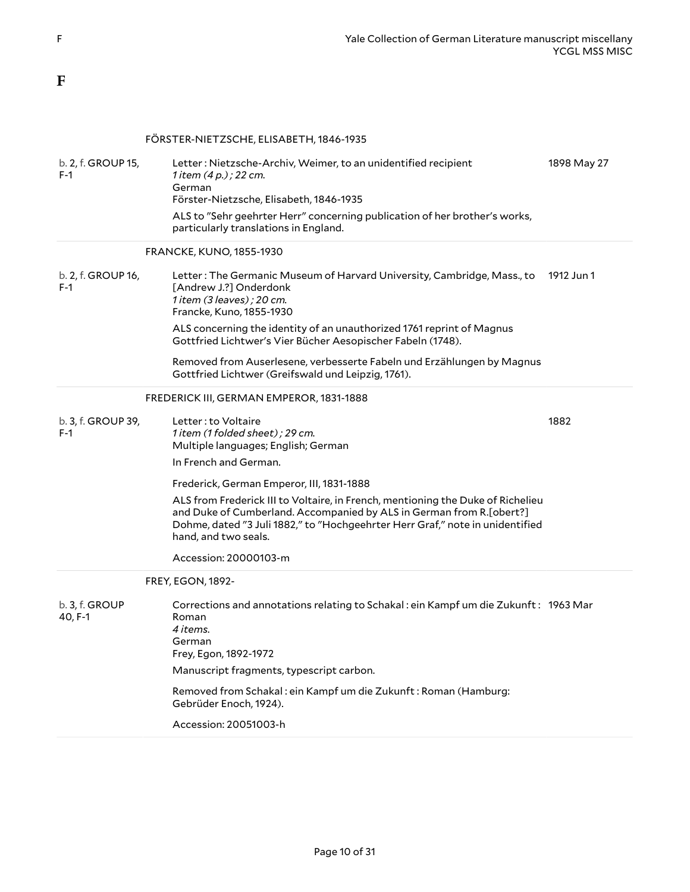### <span id="page-9-0"></span>**F**

### <span id="page-9-2"></span><span id="page-9-1"></span>FÖRSTER-NIETZSCHE, ELISABETH, 1846-1935

<span id="page-9-4"></span><span id="page-9-3"></span>

| b. 2, f. GROUP 15,<br>$F-1$ | Letter: Nietzsche-Archiv, Weimer, to an unidentified recipient<br>1 item $(4 p.)$ ; 22 cm.<br>German<br>Förster-Nietzsche, Elisabeth, 1846-1935                                                                                                                  | 1898 May 27 |
|-----------------------------|------------------------------------------------------------------------------------------------------------------------------------------------------------------------------------------------------------------------------------------------------------------|-------------|
|                             | ALS to "Sehr geehrter Herr" concerning publication of her brother's works,<br>particularly translations in England.                                                                                                                                              |             |
|                             | <b>FRANCKE, KUNO, 1855-1930</b>                                                                                                                                                                                                                                  |             |
| b. 2, f. GROUP 16,<br>$F-1$ | Letter : The Germanic Museum of Harvard University, Cambridge, Mass., to<br>[Andrew J.?] Onderdonk<br>1 item (3 leaves) ; 20 cm.<br>Francke, Kuno, 1855-1930                                                                                                     | 1912 Jun 1  |
|                             | ALS concerning the identity of an unauthorized 1761 reprint of Magnus<br>Gottfried Lichtwer's Vier Bücher Aesopischer Fabeln (1748).                                                                                                                             |             |
|                             | Removed from Auserlesene, verbesserte Fabeln und Erzählungen by Magnus<br>Gottfried Lichtwer (Greifswald und Leipzig, 1761).                                                                                                                                     |             |
|                             | FREDERICK III, GERMAN EMPEROR, 1831-1888                                                                                                                                                                                                                         |             |
| b. 3, f. GROUP 39,<br>$F-1$ | Letter: to Voltaire<br>1 item (1 folded sheet) ; 29 cm.<br>Multiple languages; English; German                                                                                                                                                                   | 1882        |
|                             | In French and German.                                                                                                                                                                                                                                            |             |
|                             | Frederick, German Emperor, III, 1831-1888                                                                                                                                                                                                                        |             |
|                             | ALS from Frederick III to Voltaire, in French, mentioning the Duke of Richelieu<br>and Duke of Cumberland. Accompanied by ALS in German from R.[obert?]<br>Dohme, dated "3 Juli 1882," to "Hochgeehrter Herr Graf," note in unidentified<br>hand, and two seals. |             |
|                             | Accession: 20000103-m                                                                                                                                                                                                                                            |             |
|                             | <b>FREY, EGON, 1892-</b>                                                                                                                                                                                                                                         |             |
| b. 3, f. GROUP<br>40, F-1   | Corrections and annotations relating to Schakal: ein Kampf um die Zukunft: 1963 Mar<br>Roman<br>4 items.<br>German<br>Frey, Egon, 1892-1972                                                                                                                      |             |
|                             | Manuscript fragments, typescript carbon.                                                                                                                                                                                                                         |             |
|                             | Removed from Schakal: ein Kampf um die Zukunft: Roman (Hamburg:<br>Gebrüder Enoch, 1924).                                                                                                                                                                        |             |
|                             | Accession: 20051003-h                                                                                                                                                                                                                                            |             |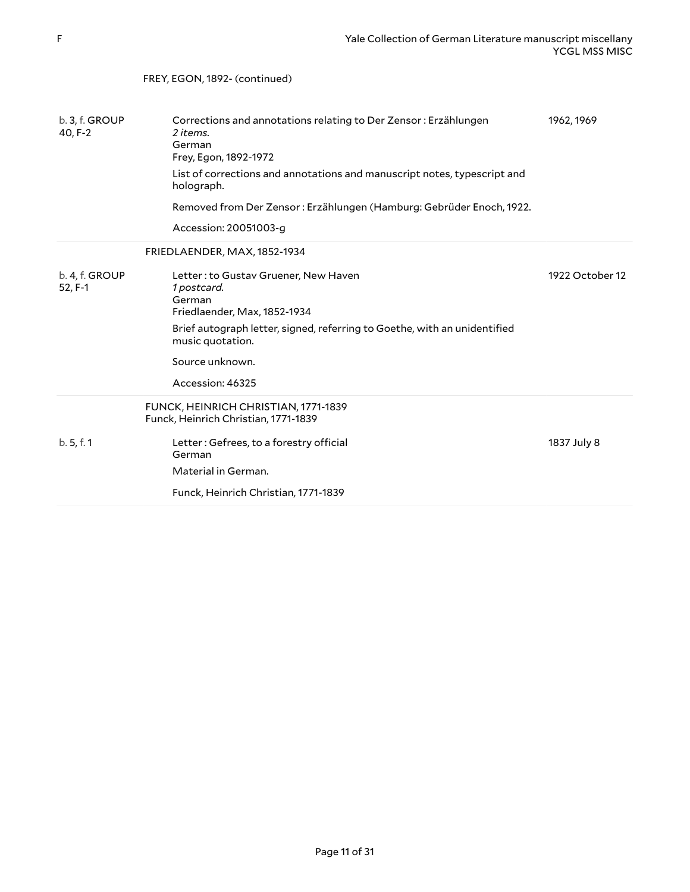<span id="page-10-1"></span><span id="page-10-0"></span>

|                             | FREY, EGON, 1892- (continued)                                                                                  |                 |
|-----------------------------|----------------------------------------------------------------------------------------------------------------|-----------------|
|                             |                                                                                                                |                 |
| b. 3, f. GROUP<br>40, F-2   | Corrections and annotations relating to Der Zensor: Erzählungen<br>2 items.<br>German<br>Frey, Egon, 1892-1972 | 1962, 1969      |
|                             | List of corrections and annotations and manuscript notes, typescript and<br>holograph.                         |                 |
|                             | Removed from Der Zensor: Erzählungen (Hamburg: Gebrüder Enoch, 1922.                                           |                 |
|                             | Accession: 20051003-g                                                                                          |                 |
|                             | FRIEDLAENDER, MAX, 1852-1934                                                                                   |                 |
| b. 4, f. GROUP<br>$52, F-1$ | Letter: to Gustav Gruener, New Haven<br>1 postcard.<br>German<br>Friedlaender, Max, 1852-1934                  | 1922 October 12 |
|                             | Brief autograph letter, signed, referring to Goethe, with an unidentified<br>music quotation.                  |                 |
|                             | Source unknown.                                                                                                |                 |
|                             | Accession: 46325                                                                                               |                 |
|                             | FUNCK, HEINRICH CHRISTIAN, 1771-1839<br>Funck, Heinrich Christian, 1771-1839                                   |                 |
| b.5, f.1                    | Letter: Gefrees, to a forestry official<br>German                                                              | 1837 July 8     |
|                             | Material in German.                                                                                            |                 |
|                             | Funck, Heinrich Christian, 1771-1839                                                                           |                 |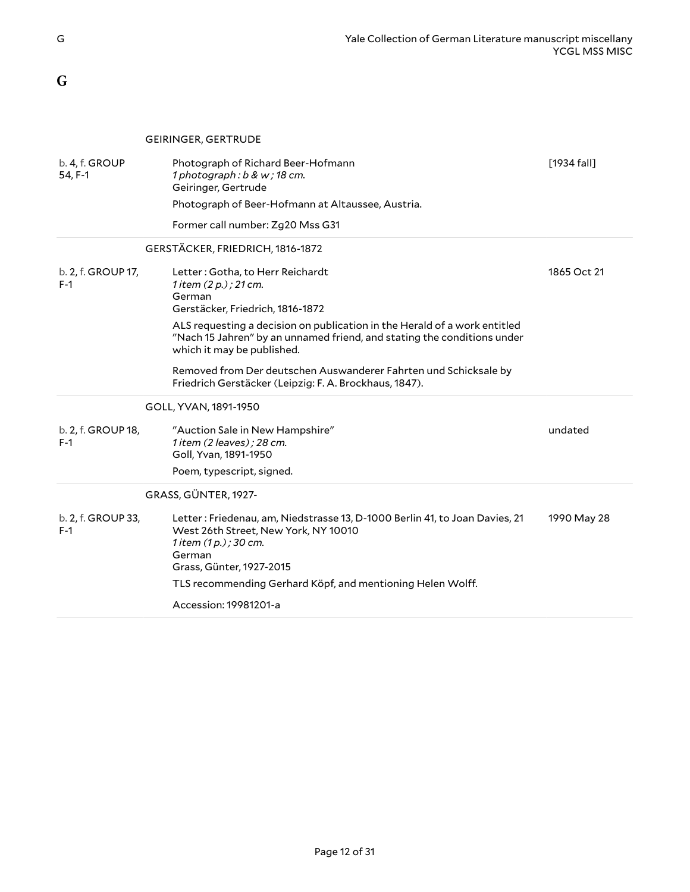<span id="page-11-0"></span>**G**

<span id="page-11-4"></span><span id="page-11-3"></span><span id="page-11-2"></span><span id="page-11-1"></span>

|                             | <b>GEIRINGER, GERTRUDE</b>                                                                                                                                                          |               |
|-----------------------------|-------------------------------------------------------------------------------------------------------------------------------------------------------------------------------------|---------------|
| b. 4, f. GROUP<br>54, F-1   | Photograph of Richard Beer-Hofmann<br>1 photograph: b & w; 18 cm.<br>Geiringer, Gertrude                                                                                            | $[1934$ fall] |
|                             | Photograph of Beer-Hofmann at Altaussee, Austria.                                                                                                                                   |               |
|                             | Former call number: Zg20 Mss G31                                                                                                                                                    |               |
|                             | GERSTÄCKER, FRIEDRICH, 1816-1872                                                                                                                                                    |               |
| b. 2, f. GROUP 17,<br>$F-1$ | Letter: Gotha, to Herr Reichardt<br>1 item $(2 p. )$ ; 21 cm.<br>German<br>Gerstäcker, Friedrich, 1816-1872                                                                         | 1865 Oct 21   |
|                             | ALS requesting a decision on publication in the Herald of a work entitled<br>"Nach 15 Jahren" by an unnamed friend, and stating the conditions under<br>which it may be published.  |               |
|                             | Removed from Der deutschen Auswanderer Fahrten und Schicksale by<br>Friedrich Gerstäcker (Leipzig: F. A. Brockhaus, 1847).                                                          |               |
|                             | GOLL, YVAN, 1891-1950                                                                                                                                                               |               |
| b. 2, f. GROUP 18,<br>$F-1$ | "Auction Sale in New Hampshire"<br>1 item (2 leaves); 28 cm.<br>Goll, Yvan, 1891-1950                                                                                               | undated       |
|                             | Poem, typescript, signed.                                                                                                                                                           |               |
|                             | GRASS, GÜNTER, 1927-                                                                                                                                                                |               |
| b. 2, f. GROUP 33,<br>$F-1$ | Letter: Friedenau, am, Niedstrasse 13, D-1000 Berlin 41, to Joan Davies, 21<br>West 26th Street, New York, NY 10010<br>1 item (1 p.) ; 30 cm.<br>German<br>Grass, Günter, 1927-2015 | 1990 May 28   |
|                             | TLS recommending Gerhard Köpf, and mentioning Helen Wolff.                                                                                                                          |               |
|                             | Accession: 19981201-a                                                                                                                                                               |               |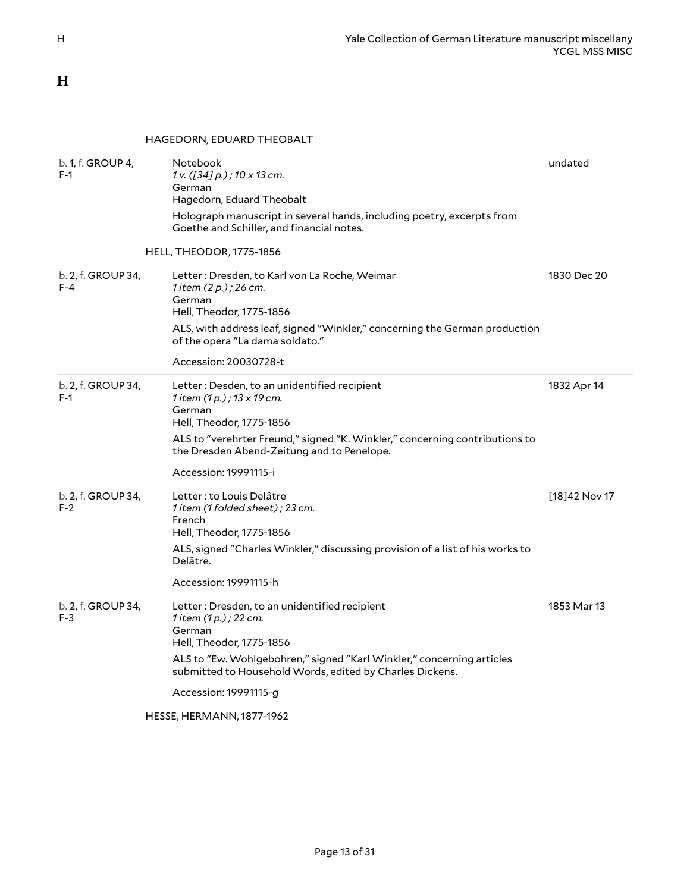<span id="page-12-0"></span>**H**

<span id="page-12-1"></span>HAGEDORN, EDUARD THEOBALT

<span id="page-12-2"></span>

| b. 1, f. GROUP 4,<br>$F-1$    | Notebook<br>1 v. ([34] p.); 10 x 13 cm.<br>German<br>Hagedorn, Eduard Theobalt<br>Holograph manuscript in several hands, including poetry, excerpts from<br>Goethe and Schiller, and financial notes.                                                                          | undated        |
|-------------------------------|--------------------------------------------------------------------------------------------------------------------------------------------------------------------------------------------------------------------------------------------------------------------------------|----------------|
|                               | HELL, THEODOR, 1775-1856                                                                                                                                                                                                                                                       |                |
| b. 2, f. GROUP 34,<br>$F - 4$ | Letter: Dresden, to Karl von La Roche, Weimar<br>1 item (2 p.) ; 26 cm.<br>German<br>Hell, Theodor, 1775-1856<br>ALS, with address leaf, signed "Winkler," concerning the German production<br>of the opera "La dama soldato."                                                 | 1830 Dec 20    |
|                               | Accession: 20030728-t                                                                                                                                                                                                                                                          |                |
| b. 2, f. GROUP 34,<br>$F-1$   | Letter: Desden, to an unidentified recipient<br>1 item $(1 p. )$ ; 13 x 19 cm.<br>German<br>Hell, Theodor, 1775-1856<br>ALS to "verehrter Freund," signed "K. Winkler," concerning contributions to<br>the Dresden Abend-Zeitung and to Penelope.<br>Accession: 19991115-i     | 1832 Apr 14    |
| b. 2, f. GROUP 34,<br>$F-2$   | Letter : to Louis Delâtre<br>1 item (1 folded sheet); 23 cm.<br>French<br>Hell, Theodor, 1775-1856<br>ALS, signed "Charles Winkler," discussing provision of a list of his works to<br>Delâtre.<br>Accession: 19991115-h                                                       | [18] 42 Nov 17 |
| b. 2, f. GROUP 34,<br>$F-3$   | Letter: Dresden, to an unidentified recipient<br>1 item $(1 p. )$ ; 22 cm.<br>German<br>Hell, Theodor, 1775-1856<br>ALS to "Ew. Wohlgebohren," signed "Karl Winkler," concerning articles<br>submitted to Household Words, edited by Charles Dickens.<br>Accession: 19991115-g | 1853 Mar 13    |

<span id="page-12-3"></span>HESSE, HERMANN, 1877-1962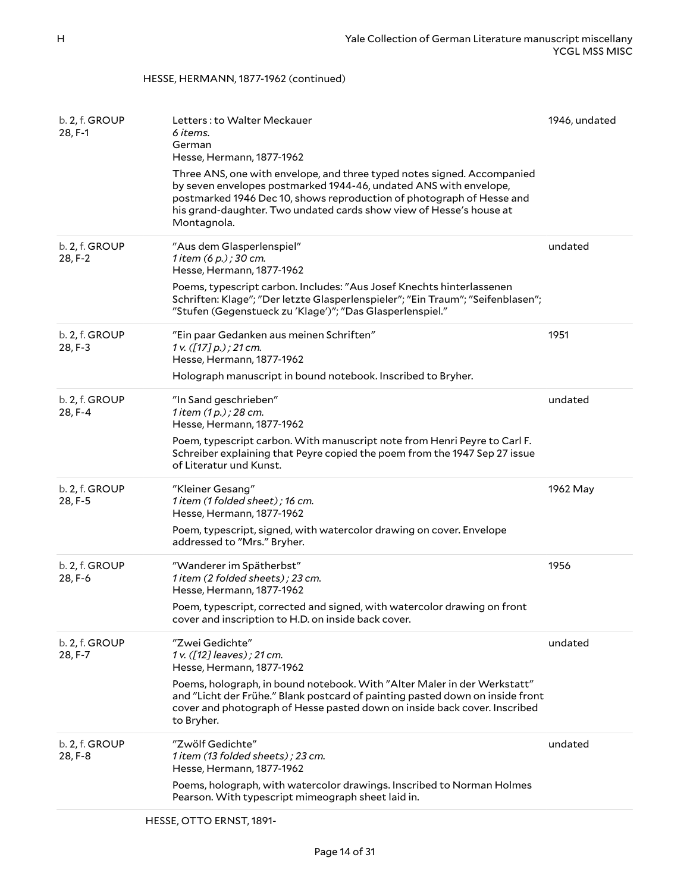#### HESSE, HERMANN, 1877-1962 (continued)

<span id="page-13-0"></span>

| b. 2, f. GROUP<br>28, F-1 | Letters: to Walter Meckauer<br>6 items.<br>German<br>Hesse, Hermann, 1877-1962<br>Three ANS, one with envelope, and three typed notes signed. Accompanied<br>by seven envelopes postmarked 1944-46, undated ANS with envelope,<br>postmarked 1946 Dec 10, shows reproduction of photograph of Hesse and<br>his grand-daughter. Two undated cards show view of Hesse's house at<br>Montagnola. | 1946, undated |
|---------------------------|-----------------------------------------------------------------------------------------------------------------------------------------------------------------------------------------------------------------------------------------------------------------------------------------------------------------------------------------------------------------------------------------------|---------------|
| b. 2, f. GROUP<br>28, F-2 | "Aus dem Glasperlenspiel"<br>1 item (6 p.) ; 30 cm.<br>Hesse, Hermann, 1877-1962<br>Poems, typescript carbon. Includes: "Aus Josef Knechts hinterlassenen<br>Schriften: Klage"; "Der letzte Glasperlenspieler"; "Ein Traum"; "Seifenblasen";<br>"Stufen (Gegenstueck zu 'Klage')"; "Das Glasperlenspiel."                                                                                     | undated       |
| b. 2, f. GROUP<br>28, F-3 | "Ein paar Gedanken aus meinen Schriften"<br>1 v. ([17] p.); 21 cm.<br>Hesse, Hermann, 1877-1962<br>Holograph manuscript in bound notebook. Inscribed to Bryher.                                                                                                                                                                                                                               | 1951          |
| b. 2, f. GROUP<br>28, F-4 | "In Sand geschrieben"<br>1 item (1 p.) ; 28 cm.<br>Hesse, Hermann, 1877-1962<br>Poem, typescript carbon. With manuscript note from Henri Peyre to Carl F.<br>Schreiber explaining that Peyre copied the poem from the 1947 Sep 27 issue<br>of Literatur und Kunst.                                                                                                                            | undated       |
| b. 2, f. GROUP<br>28, F-5 | "Kleiner Gesang"<br>1 item (1 folded sheet); 16 cm.<br>Hesse, Hermann, 1877-1962<br>Poem, typescript, signed, with watercolor drawing on cover. Envelope<br>addressed to "Mrs." Bryher.                                                                                                                                                                                                       | 1962 May      |
| b. 2, f. GROUP<br>28, F-6 | "Wanderer im Spätherbst"<br>1 item (2 folded sheets); 23 cm.<br>Hesse, Hermann, 1877-1962<br>Poem, typescript, corrected and signed, with watercolor drawing on front<br>cover and inscription to H.D. on inside back cover.                                                                                                                                                                  | 1956          |
| b. 2, f. GROUP<br>28, F-7 | "Zwei Gedichte"<br>1 v. ([12] leaves); 21 cm.<br>Hesse, Hermann, 1877-1962<br>Poems, holograph, in bound notebook. With "Alter Maler in der Werkstatt"<br>and "Licht der Frühe." Blank postcard of painting pasted down on inside front<br>cover and photograph of Hesse pasted down on inside back cover. Inscribed<br>to Bryher.                                                            | undated       |
| b. 2, f. GROUP<br>28, F-8 | "Zwölf Gedichte"<br>1 item (13 folded sheets); 23 cm.<br>Hesse, Hermann, 1877-1962<br>Poems, holograph, with watercolor drawings. Inscribed to Norman Holmes<br>Pearson. With typescript mimeograph sheet laid in.                                                                                                                                                                            | undated       |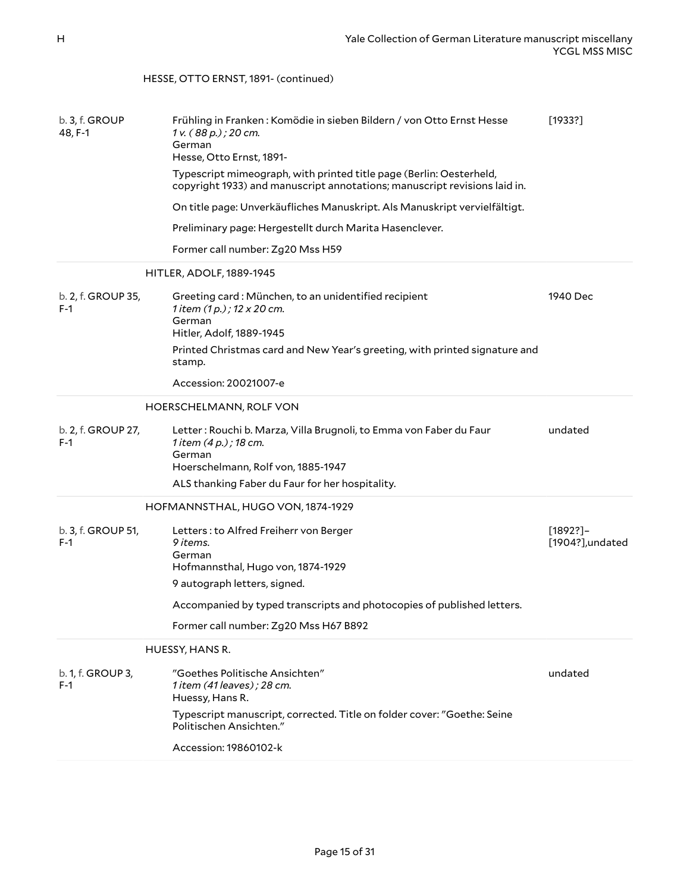#### <span id="page-14-3"></span><span id="page-14-2"></span><span id="page-14-1"></span><span id="page-14-0"></span>b. 3, f. GROUP 48, F-1 Frühling in Franken : Komödie in sieben Bildern / von Otto Ernst Hesse *1 v. ( 88 p.) ; 20 cm.* German Hesse, Otto Ernst, 1891- Typescript mimeograph, with printed title page (Berlin: Oesterheld, copyright 1933) and manuscript annotations; manuscript revisions laid in. On title page: Unverkäufliches Manuskript. Als Manuskript vervielfältigt. Preliminary page: Hergestellt durch Marita Hasenclever. Former call number: Zg20 Mss H59 [1933?] HITLER, ADOLF, 1889-1945 b. 2, f. GROUP 35, F-1 Greeting card : München, to an unidentified recipient *1 item (1 p.) ; 12 x 20 cm.* German Hitler, Adolf, 1889-1945 Printed Christmas card and New Year's greeting, with printed signature and stamp. Accession: 20021007-e 1940 Dec HOERSCHELMANN, ROLF VON b. 2, f. GROUP 27, F-1 Letter : Rouchi b. Marza, Villa Brugnoli, to Emma von Faber du Faur *1 item (4 p.) ; 18 cm.* German Hoerschelmann, Rolf von, 1885-1947 ALS thanking Faber du Faur for her hospitality. undated HOFMANNSTHAL, HUGO VON, 1874-1929 b. 3, f. GROUP 51, F-1 Letters : to Alfred Freiherr von Berger *9 items.* German Hofmannsthal, Hugo von, 1874-1929 9 autograph letters, signed. Accompanied by typed transcripts and photocopies of published letters. Former call number: Zg20 Mss H67 B892 [1892?]– [1904?],undated HUESSY, HANS R. b. 1, f. GROUP 3, F-1 "Goethes Politische Ansichten" *1 item (41 leaves) ; 28 cm.* Huessy, Hans R. Typescript manuscript, corrected. Title on folder cover: "Goethe: Seine Politischen Ansichten." Accession: 19860102-k undated HESSE, OTTO ERNST, 1891- (continued)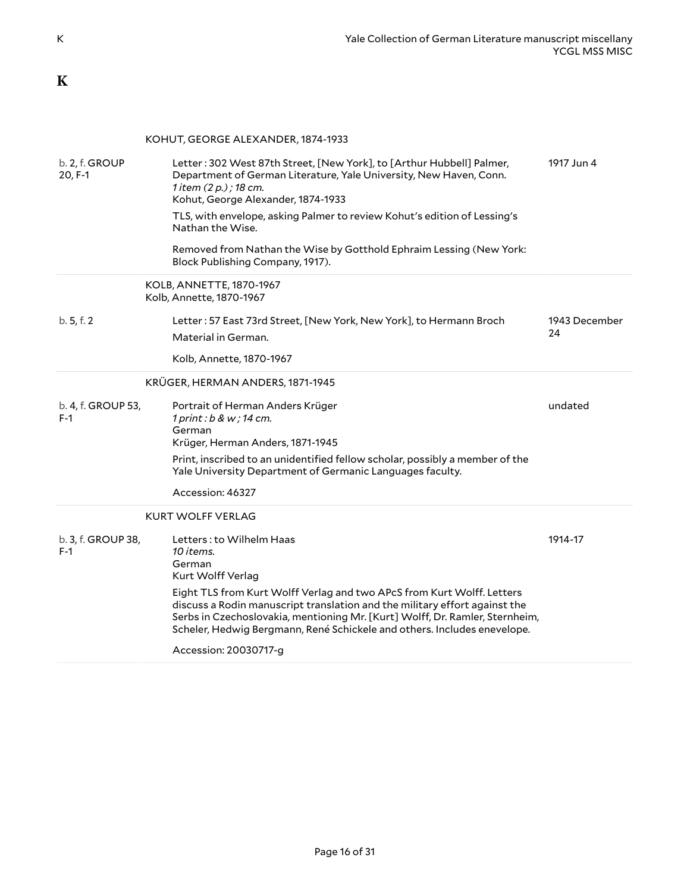### <span id="page-15-0"></span>**K**

### <span id="page-15-2"></span><span id="page-15-1"></span>KOHUT, GEORGE ALEXANDER, 1874-1933

<span id="page-15-4"></span><span id="page-15-3"></span>

| b. 2, f. GROUP<br>20, F-1   | Letter: 302 West 87th Street, [New York], to [Arthur Hubbell] Palmer,<br>Department of German Literature, Yale University, New Haven, Conn.<br>1 item (2 p.); 18 cm.<br>Kohut, George Alexander, 1874-1933                                                                                                       | 1917 Jun 4    |
|-----------------------------|------------------------------------------------------------------------------------------------------------------------------------------------------------------------------------------------------------------------------------------------------------------------------------------------------------------|---------------|
|                             | TLS, with envelope, asking Palmer to review Kohut's edition of Lessing's<br>Nathan the Wise.                                                                                                                                                                                                                     |               |
|                             | Removed from Nathan the Wise by Gotthold Ephraim Lessing (New York:<br>Block Publishing Company, 1917).                                                                                                                                                                                                          |               |
|                             | KOLB, ANNETTE, 1870-1967<br>Kolb, Annette, 1870-1967                                                                                                                                                                                                                                                             |               |
| b.5, f.2                    | Letter: 57 East 73rd Street, [New York, New York], to Hermann Broch                                                                                                                                                                                                                                              | 1943 December |
|                             | Material in German.                                                                                                                                                                                                                                                                                              | 24            |
|                             | Kolb, Annette, 1870-1967                                                                                                                                                                                                                                                                                         |               |
|                             | KRÜGER, HERMAN ANDERS, 1871-1945                                                                                                                                                                                                                                                                                 |               |
| b. 4, f. GROUP 53,<br>$F-1$ | Portrait of Herman Anders Krüger<br>$1$ print: $b$ & w; $14$ cm.<br>German<br>Krüger, Herman Anders, 1871-1945                                                                                                                                                                                                   | undated       |
|                             | Print, inscribed to an unidentified fellow scholar, possibly a member of the<br>Yale University Department of Germanic Languages faculty.                                                                                                                                                                        |               |
|                             | Accession: 46327                                                                                                                                                                                                                                                                                                 |               |
|                             | <b>KURT WOLFF VERLAG</b>                                                                                                                                                                                                                                                                                         |               |
| b. 3, f. GROUP 38,<br>$F-1$ | Letters: to Wilhelm Haas<br>10 items.<br>German<br>Kurt Wolff Verlag                                                                                                                                                                                                                                             | 1914-17       |
|                             | Eight TLS from Kurt Wolff Verlag and two APcS from Kurt Wolff. Letters<br>discuss a Rodin manuscript translation and the military effort against the<br>Serbs in Czechoslovakia, mentioning Mr. [Kurt] Wolff, Dr. Ramler, Sternheim,<br>Scheler, Hedwig Bergmann, René Schickele and others. Includes enevelope. |               |
|                             | Accession: 20030717-g                                                                                                                                                                                                                                                                                            |               |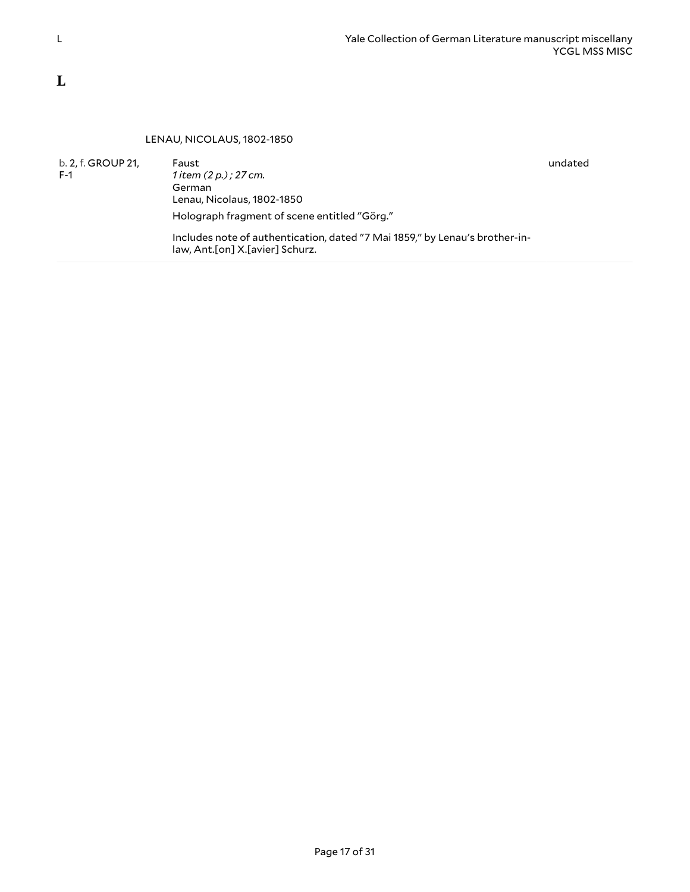#### <span id="page-16-1"></span>LENAU, NICOLAUS, 1802-1850

<span id="page-16-0"></span>b. 2, f. GROUP 21, F-1 Faust *1 item (2 p.) ; 27 cm.* German Lenau, Nicolaus, 1802-1850 Holograph fragment of scene entitled "Görg." Includes note of authentication, dated "7 Mai 1859," by Lenau's brother-inlaw, Ant.[on] X.[avier] Schurz.

undated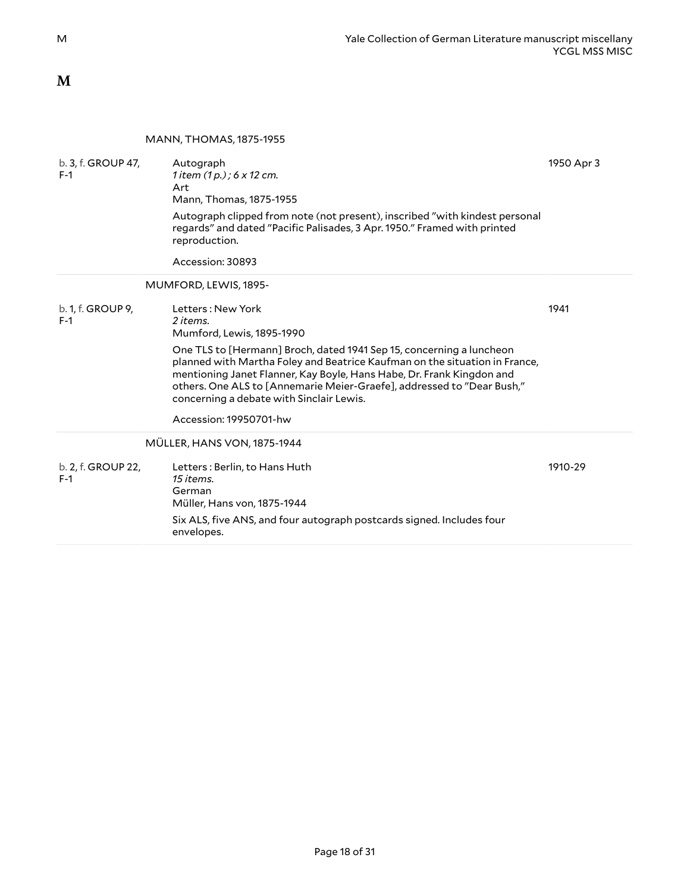### <span id="page-17-0"></span>**M**

#### <span id="page-17-2"></span><span id="page-17-1"></span>MANN, THOMAS, 1875-1955

<span id="page-17-3"></span>

| b. 3, f. GROUP 47,<br>$F-1$ | Autograph<br>1 item $(1 p. ) : 6 \times 12$ cm.<br>Art<br>Mann, Thomas, 1875-1955<br>Autograph clipped from note (not present), inscribed "with kindest personal<br>regards" and dated "Pacific Palisades, 3 Apr. 1950." Framed with printed<br>reproduction.<br>Accession: 30893                                                                                                                                                         | 1950 Apr 3 |
|-----------------------------|-------------------------------------------------------------------------------------------------------------------------------------------------------------------------------------------------------------------------------------------------------------------------------------------------------------------------------------------------------------------------------------------------------------------------------------------|------------|
|                             | MUMFORD, LEWIS, 1895-                                                                                                                                                                                                                                                                                                                                                                                                                     |            |
| b. 1, f. GROUP 9,<br>$F-1$  | Letters: New York<br>2 items.<br>Mumford, Lewis, 1895-1990<br>One TLS to [Hermann] Broch, dated 1941 Sep 15, concerning a luncheon<br>planned with Martha Foley and Beatrice Kaufman on the situation in France,<br>mentioning Janet Flanner, Kay Boyle, Hans Habe, Dr. Frank Kingdon and<br>others. One ALS to [Annemarie Meier-Graefe], addressed to "Dear Bush,"<br>concerning a debate with Sinclair Lewis.<br>Accession: 19950701-hw | 1941       |
|                             | MÜLLER, HANS VON, 1875-1944                                                                                                                                                                                                                                                                                                                                                                                                               |            |
| b. 2, f. GROUP 22,<br>$F-1$ | Letters: Berlin, to Hans Huth<br>15 items.<br>German<br>Müller, Hans von, 1875-1944<br>Six ALS, five ANS, and four autograph postcards signed. Includes four<br>envelopes.                                                                                                                                                                                                                                                                | 1910-29    |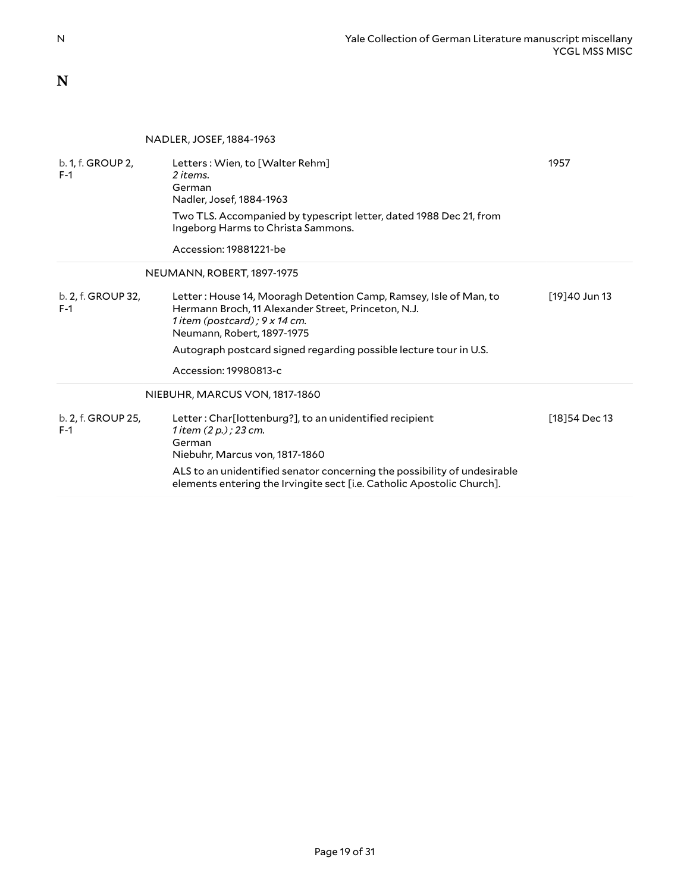<span id="page-18-0"></span>**N**

<span id="page-18-3"></span><span id="page-18-2"></span><span id="page-18-1"></span>

|                             | NADLER, JOSEF, 1884-1963                                                                                                                                                                                                |                |
|-----------------------------|-------------------------------------------------------------------------------------------------------------------------------------------------------------------------------------------------------------------------|----------------|
| b. 1, f. GROUP 2,<br>F-1    | Letters: Wien, to [Walter Rehm]<br>2 items.<br>German<br>Nadler, Josef, 1884-1963<br>Two TLS. Accompanied by typescript letter, dated 1988 Dec 21, from<br>Ingeborg Harms to Christa Sammons.<br>Accession: 19881221-be | 1957           |
|                             | NEUMANN, ROBERT, 1897-1975                                                                                                                                                                                              |                |
| b. 2, f. GROUP 32,<br>$F-1$ | Letter: House 14, Mooragh Detention Camp, Ramsey, Isle of Man, to<br>Hermann Broch, 11 Alexander Street, Princeton, N.J.<br>1 item (postcard) ; $9 \times 14$ cm.<br>Neumann, Robert, 1897-1975                         | [19]40 Jun 13  |
|                             | Autograph postcard signed regarding possible lecture tour in U.S.                                                                                                                                                       |                |
|                             | Accession: 19980813-c                                                                                                                                                                                                   |                |
|                             | NIEBUHR, MARCUS VON, 1817-1860                                                                                                                                                                                          |                |
| b. 2, f. GROUP 25,<br>$F-1$ | Letter: Char[lottenburg?], to an unidentified recipient<br>1 item (2 p.) ; 23 cm.<br>German<br>Niebuhr, Marcus von, 1817-1860<br>ALS to an unidentified senator concerning the possibility of undesirable               | [18] 54 Dec 13 |
|                             | elements entering the Irvingite sect [i.e. Catholic Apostolic Church].                                                                                                                                                  |                |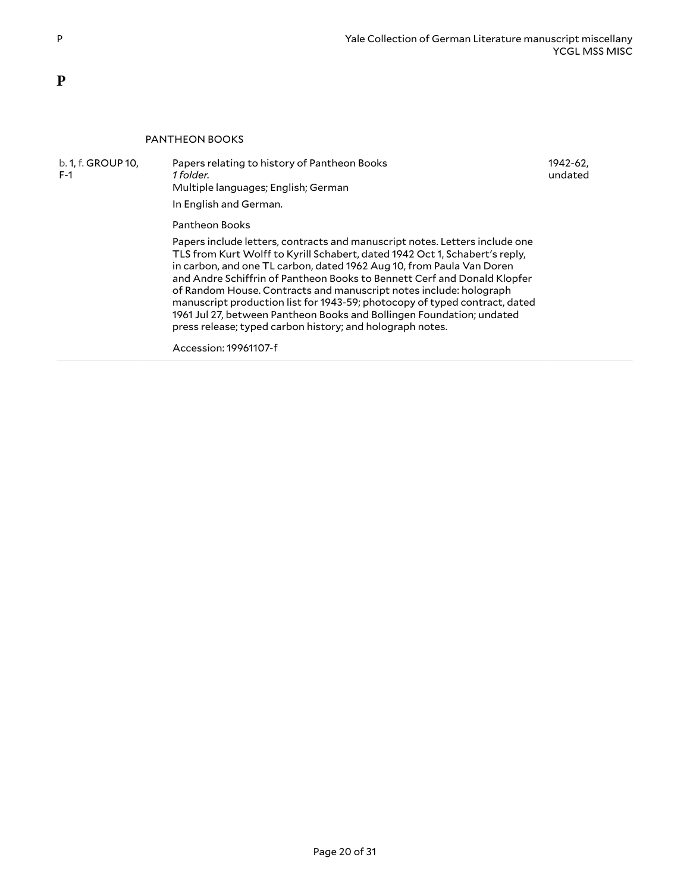#### <span id="page-19-1"></span>PANTHEON BOOKS

b. 1, f. GROUP 10,

F-1

Papers relating to history of Pantheon Books *1 folder.* Multiple languages; English; German

1942-62, undated

In English and German.

Pantheon Books

Papers include letters, contracts and manuscript notes. Letters include one TLS from Kurt Wolff to Kyrill Schabert, dated 1942 Oct 1, Schabert's reply, in carbon, and one TL carbon, dated 1962 Aug 10, from Paula Van Doren and Andre Schiffrin of Pantheon Books to Bennett Cerf and Donald Klopfer of Random House. Contracts and manuscript notes include: holograph manuscript production list for 1943-59; photocopy of typed contract, dated 1961 Jul 27, between Pantheon Books and Bollingen Foundation; undated press release; typed carbon history; and holograph notes.

Accession: 19961107-f

<span id="page-19-0"></span>**P**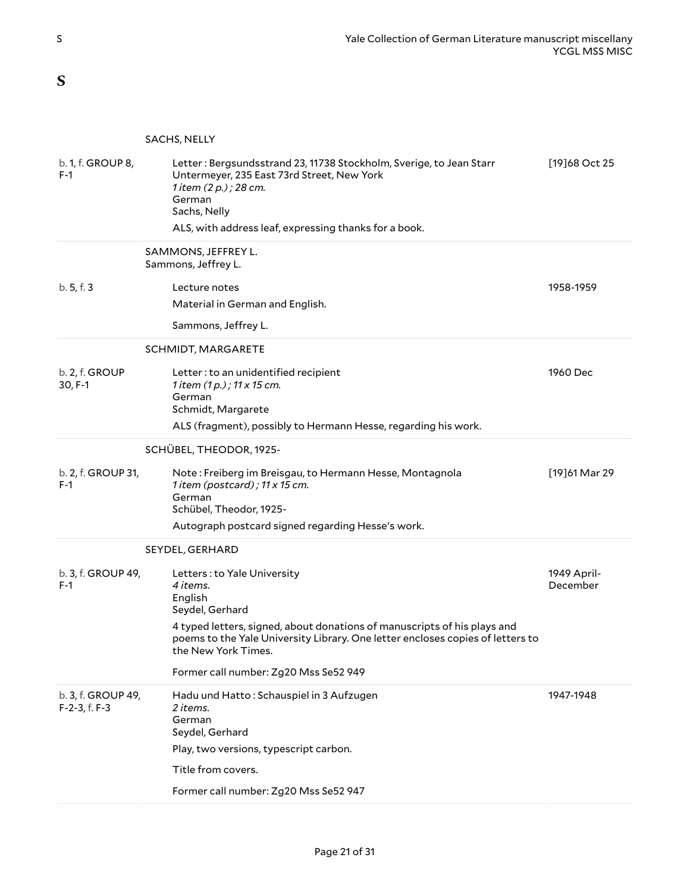<span id="page-20-0"></span>**S**

#### <span id="page-20-2"></span><span id="page-20-1"></span>SACHS, NELLY

<span id="page-20-5"></span><span id="page-20-4"></span><span id="page-20-3"></span>

| b. 1, f. GROUP 8,<br>$F-1$          | Letter: Bergsundsstrand 23, 11738 Stockholm, Sverige, to Jean Starr<br>Untermeyer, 235 East 73rd Street, New York<br>1 item (2 p.) ; 28 cm.<br>German<br>Sachs, Nelly<br>ALS, with address leaf, expressing thanks for a book. | [19]68 Oct 25           |
|-------------------------------------|--------------------------------------------------------------------------------------------------------------------------------------------------------------------------------------------------------------------------------|-------------------------|
|                                     | SAMMONS, JEFFREY L.<br>Sammons, Jeffrey L.                                                                                                                                                                                     |                         |
| b.5, f.3                            | Lecture notes                                                                                                                                                                                                                  | 1958-1959               |
|                                     | Material in German and English.                                                                                                                                                                                                |                         |
|                                     | Sammons, Jeffrey L.                                                                                                                                                                                                            |                         |
|                                     | SCHMIDT, MARGARETE                                                                                                                                                                                                             |                         |
| b. 2, f. GROUP<br>30, F-1           | Letter: to an unidentified recipient<br>1 item $(1 p. )$ ; 11 x 15 cm.<br>German<br>Schmidt, Margarete                                                                                                                         | 1960 Dec                |
|                                     | ALS (fragment), possibly to Hermann Hesse, regarding his work.                                                                                                                                                                 |                         |
|                                     | SCHÜBEL, THEODOR, 1925-                                                                                                                                                                                                        |                         |
| b. 2, f. GROUP 31,<br>$F-1$         | Note: Freiberg im Breisgau, to Hermann Hesse, Montagnola<br>1 item (postcard); $11 \times 15$ cm.<br>German<br>Schübel, Theodor, 1925-<br>Autograph postcard signed regarding Hesse's work.                                    | [19]61 Mar 29           |
|                                     | SEYDEL, GERHARD                                                                                                                                                                                                                |                         |
| b. 3, f. GROUP 49,<br>F-1           | Letters: to Yale University<br>4 items.<br>English<br>Seydel, Gerhard                                                                                                                                                          | 1949 April-<br>December |
|                                     | 4 typed letters, signed, about donations of manuscripts of his plays and<br>poems to the Yale University Library. One letter encloses copies of letters to<br>the New York Times.                                              |                         |
|                                     | Former call number: Zg20 Mss Se52 949                                                                                                                                                                                          |                         |
| b. 3, f. GROUP 49,<br>F-2-3, f. F-3 | Hadu und Hatto: Schauspiel in 3 Aufzugen<br>2 items.<br>German<br>Seydel, Gerhard                                                                                                                                              | 1947-1948               |
|                                     | Play, two versions, typescript carbon.                                                                                                                                                                                         |                         |
|                                     | Title from covers.                                                                                                                                                                                                             |                         |
|                                     | Former call number: Zg20 Mss Se52 947                                                                                                                                                                                          |                         |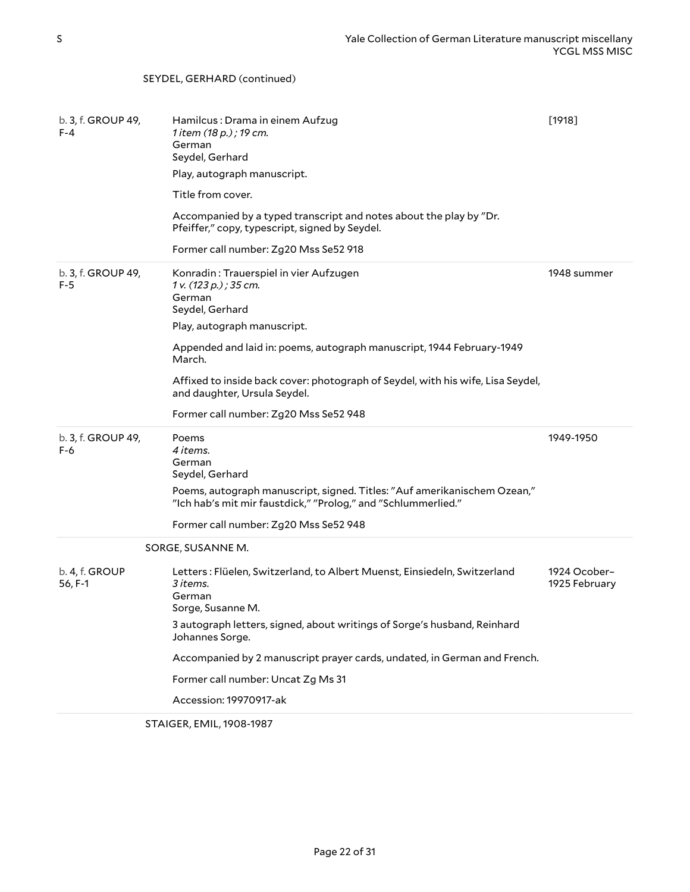#### b. 3, f. GROUP 49, F-4 Hamilcus : Drama in einem Aufzug *1 item (18 p.) ; 19 cm.* German Seydel, Gerhard Play, autograph manuscript. Title from cover. Accompanied by a typed transcript and notes about the play by "Dr. Pfeiffer," copy, typescript, signed by Seydel. Former call number: Zg20 Mss Se52 918 [1918] b. 3, f. GROUP 49, F-5 Konradin : Trauerspiel in vier Aufzugen *1 v. (123 p.) ; 35 cm.* German Seydel, Gerhard Play, autograph manuscript. Appended and laid in: poems, autograph manuscript, 1944 February-1949 March. Affixed to inside back cover: photograph of Seydel, with his wife, Lisa Seydel, and daughter, Ursula Seydel. Former call number: Zg20 Mss Se52 948 1948 summer b. 3, f. GROUP 49, F-6 Poems *4 items.* German Seydel, Gerhard Poems, autograph manuscript, signed. Titles: "Auf amerikanischem Ozean," "Ich hab's mit mir faustdick," "Prolog," and "Schlummerlied." Former call number: Zg20 Mss Se52 948 1949-1950 SORGE, SUSANNE M. b. 4, f. GROUP 56, F-1 Letters : Flüelen, Switzerland, to Albert Muenst, Einsiedeln, Switzerland *3 items.* German Sorge, Susanne M. 3 autograph letters, signed, about writings of Sorge's husband, Reinhard Johannes Sorge. Accompanied by 2 manuscript prayer cards, undated, in German and French. Former call number: Uncat Zg Ms 31 Accession: 19970917-ak 1924 Ocober– 1925 February

<span id="page-21-1"></span><span id="page-21-0"></span>STAIGER, EMIL, 1908-1987

SEYDEL, GERHARD (continued)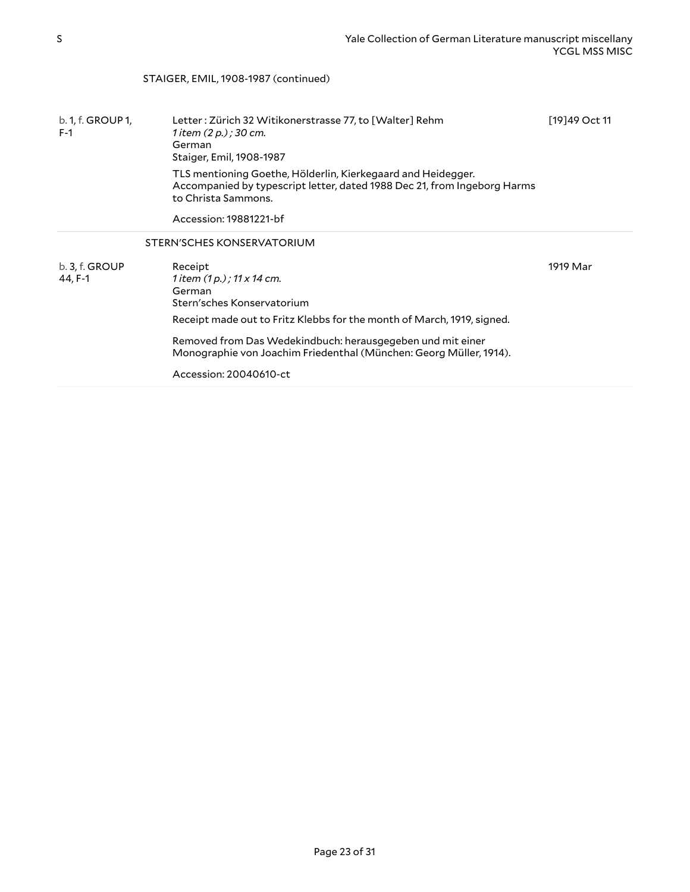#### STAIGER, EMIL, 1908-1987 (continued)

<span id="page-22-0"></span>

| b. 1, f. GROUP 1,<br>$F-1$ | Letter: Zürich 32 Witikonerstrasse 77, to [Walter] Rehm<br>1 item (2 p.) ; 30 cm.<br>German<br>Staiger, Emil, 1908-1987<br>TLS mentioning Goethe, Hölderlin, Kierkegaard and Heidegger.<br>Accompanied by typescript letter, dated 1988 Dec 21, from Ingeborg Harms<br>to Christa Sammons.<br>Accession: 19881221-bf | [19]49 Oct 11 |
|----------------------------|----------------------------------------------------------------------------------------------------------------------------------------------------------------------------------------------------------------------------------------------------------------------------------------------------------------------|---------------|
|                            | STERN'SCHES KONSERVATORIUM                                                                                                                                                                                                                                                                                           |               |
| b. 3, f. GROUP<br>44, F-1  | Receipt<br>1 item $(1 p. )$ ; 11 x 14 cm.<br>German<br>Stern'sches Konservatorium<br>Receipt made out to Fritz Klebbs for the month of March, 1919, signed.                                                                                                                                                          | 1919 Mar      |
|                            | Removed from Das Wedekindbuch: herausgegeben und mit einer<br>Monographie von Joachim Friedenthal (München: Georg Müller, 1914).                                                                                                                                                                                     |               |
|                            | Accession: 20040610-ct                                                                                                                                                                                                                                                                                               |               |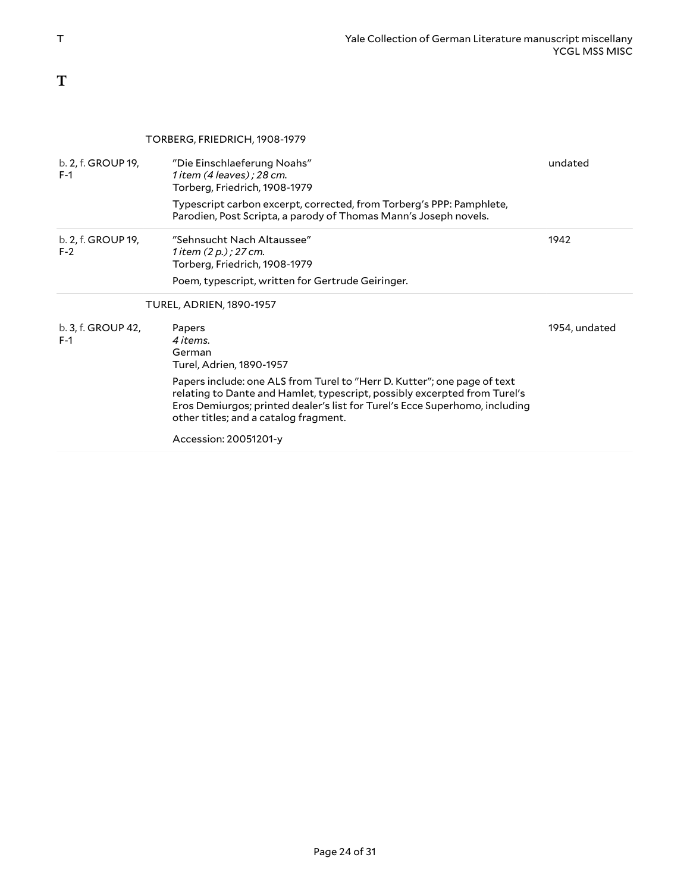## <span id="page-23-0"></span>**T**

#### <span id="page-23-2"></span><span id="page-23-1"></span>TORBERG, FRIEDRICH, 1908-1979

| b. 2, f. GROUP 19,<br>$F-1$ | "Die Einschlaeferung Noahs"<br>1 item (4 leaves); 28 cm.<br>Torberg, Friedrich, 1908-1979                                                                                                                                                                                     | undated       |
|-----------------------------|-------------------------------------------------------------------------------------------------------------------------------------------------------------------------------------------------------------------------------------------------------------------------------|---------------|
|                             | Typescript carbon excerpt, corrected, from Torberg's PPP: Pamphlete,<br>Parodien, Post Scripta, a parody of Thomas Mann's Joseph novels.                                                                                                                                      |               |
| b. 2, f. GROUP 19,<br>$F-2$ | "Sehnsucht Nach Altaussee"<br>1 item $(2 p. )$ ; 27 cm.<br>Torberg, Friedrich, 1908-1979                                                                                                                                                                                      | 1942          |
|                             | Poem, typescript, written for Gertrude Geiringer.                                                                                                                                                                                                                             |               |
|                             | <b>TUREL, ADRIEN, 1890-1957</b>                                                                                                                                                                                                                                               |               |
| b. 3, f. GROUP 42,<br>$F-1$ | Papers<br>4 items.<br>German<br>Turel, Adrien, 1890-1957                                                                                                                                                                                                                      | 1954, undated |
|                             | Papers include: one ALS from Turel to "Herr D. Kutter"; one page of text<br>relating to Dante and Hamlet, typescript, possibly excerpted from Turel's<br>Eros Demiurgos; printed dealer's list for Turel's Ecce Superhomo, including<br>other titles; and a catalog fragment. |               |
|                             | Accession: 20051201-y                                                                                                                                                                                                                                                         |               |
|                             |                                                                                                                                                                                                                                                                               |               |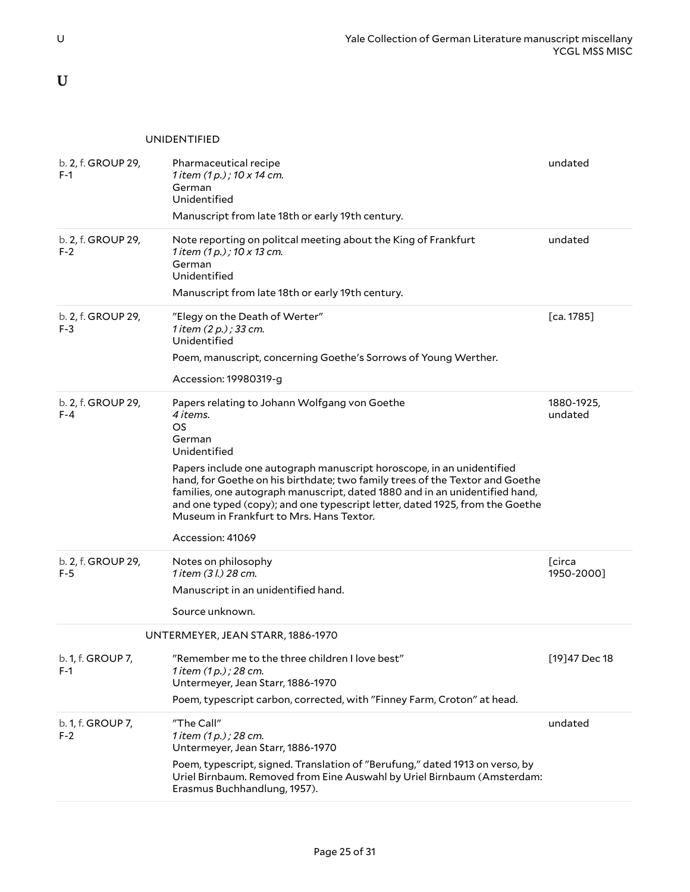<span id="page-24-0"></span>**U**

#### <span id="page-24-1"></span>UNIDENTIFIED

<span id="page-24-2"></span>

| b. 2, f. GROUP 29,<br>$F-1$   | Pharmaceutical recipe<br>1 item (1 p.) ; 10 x 14 cm.<br>German<br>Unidentified<br>Manuscript from late 18th or early 19th century.                                                                                                                                                                                                                                                                                                                                                       | undated                      |
|-------------------------------|------------------------------------------------------------------------------------------------------------------------------------------------------------------------------------------------------------------------------------------------------------------------------------------------------------------------------------------------------------------------------------------------------------------------------------------------------------------------------------------|------------------------------|
| b. 2, f. GROUP 29,<br>$F-2$   | Note reporting on politcal meeting about the King of Frankfurt<br>1 item (1 p.) ; 10 x 13 cm.<br>German<br>Unidentified<br>Manuscript from late 18th or early 19th century.                                                                                                                                                                                                                                                                                                              | undated                      |
| b. 2, f. GROUP 29,<br>$F-3$   | "Elegy on the Death of Werter"<br>1 item (2 p.) ; 33 cm.<br>Unidentified<br>Poem, manuscript, concerning Goethe's Sorrows of Young Werther.<br>Accession: 19980319-g                                                                                                                                                                                                                                                                                                                     | [ca. 1785]                   |
| b. 2, f. GROUP 29,<br>$F - 4$ | Papers relating to Johann Wolfgang von Goethe<br>4 items.<br><b>OS</b><br>German<br>Unidentified<br>Papers include one autograph manuscript horoscope, in an unidentified<br>hand, for Goethe on his birthdate; two family trees of the Textor and Goethe<br>families, one autograph manuscript, dated 1880 and in an unidentified hand,<br>and one typed (copy); and one typescript letter, dated 1925, from the Goethe<br>Museum in Frankfurt to Mrs. Hans Textor.<br>Accession: 41069 | 1880-1925,<br>undated        |
| b. 2, f. GROUP 29,<br>F-5     | Notes on philosophy<br>1 item (3 l.) 28 cm.<br>Manuscript in an unidentified hand.<br>Source unknown.                                                                                                                                                                                                                                                                                                                                                                                    | <b>T</b> circa<br>1950-2000] |
|                               | UNTERMEYER, JEAN STARR, 1886-1970                                                                                                                                                                                                                                                                                                                                                                                                                                                        |                              |
| b. 1, f. GROUP 7,<br>$F-1$    | $^{\prime\prime}$ Remember me to the three children I love best $^{\prime\prime}$<br>1 item (1 p.) ; 28 cm.<br>Untermeyer, Jean Starr, 1886-1970<br>Poem, typescript carbon, corrected, with "Finney Farm, Croton" at head.                                                                                                                                                                                                                                                              | [19] 47 Dec 18               |
| b. 1, f. GROUP 7,<br>$F-2$    | "The Call"<br>1 item (1 p.) ; 28 cm.<br>Untermeyer, Jean Starr, 1886-1970<br>Poem, typescript, signed. Translation of "Berufung," dated 1913 on verso, by<br>Uriel Birnbaum. Removed from Eine Auswahl by Uriel Birnbaum (Amsterdam:<br>Erasmus Buchhandlung, 1957).                                                                                                                                                                                                                     | undated                      |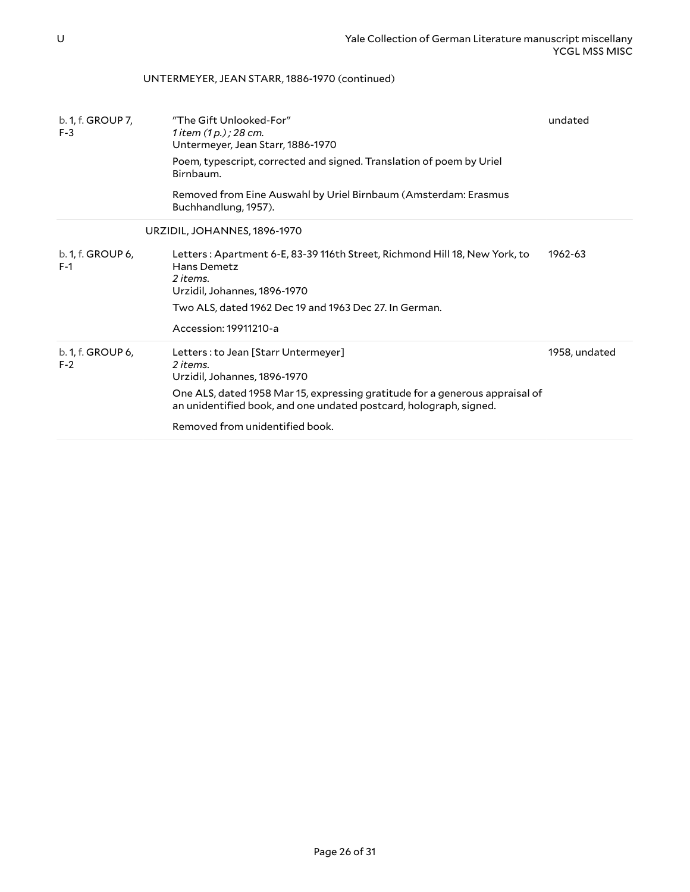### UNTERMEYER, JEAN STARR, 1886-1970 (continued)

<span id="page-25-0"></span>

| b. 1, f. GROUP 7,<br>$F-3$ | "The Gift Unlooked-For"<br>1 item $(1 p.)$ ; 28 cm.<br>Untermeyer, Jean Starr, 1886-1970<br>Poem, typescript, corrected and signed. Translation of poem by Uriel<br>Birnbaum.<br>Removed from Eine Auswahl by Uriel Birnbaum (Amsterdam: Erasmus<br>Buchhandlung, 1957). | undated       |
|----------------------------|--------------------------------------------------------------------------------------------------------------------------------------------------------------------------------------------------------------------------------------------------------------------------|---------------|
|                            | URZIDIL, JOHANNES, 1896-1970                                                                                                                                                                                                                                             |               |
| b. 1, f. GROUP 6,<br>$F-1$ | Letters: Apartment 6-E, 83-39 116th Street, Richmond Hill 18, New York, to<br>Hans Demetz<br>2 items.<br>Urzidil, Johannes, 1896-1970<br>Two ALS, dated 1962 Dec 19 and 1963 Dec 27. In German.<br>Accession: 19911210-a                                                 | 1962-63       |
| b. 1, f. GROUP 6,<br>$F-2$ | Letters: to Jean [Starr Untermeyer]<br>2 items.<br>Urzidil, Johannes, 1896-1970<br>One ALS, dated 1958 Mar 15, expressing gratitude for a generous appraisal of<br>an unidentified book, and one undated postcard, holograph, signed.<br>Removed from unidentified book. | 1958, undated |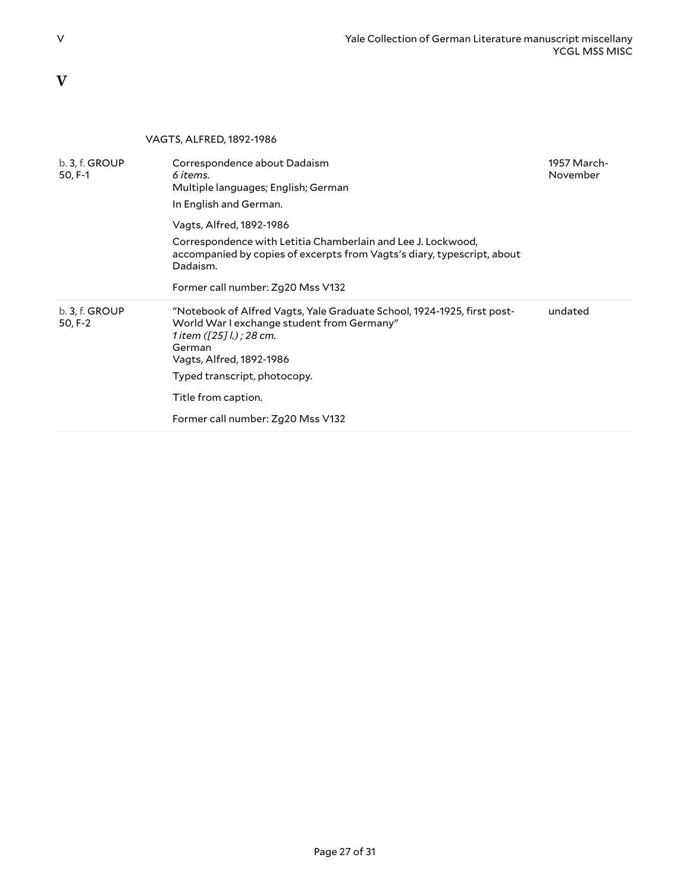### <span id="page-26-0"></span>**V**

#### <span id="page-26-1"></span>VAGTS, ALFRED, 1892-1986 b. 3, f. GROUP 50, F-1 Correspondence about Dadaism *6 items.* Multiple languages; English; German In English and German. Vagts, Alfred, 1892-1986 Correspondence with Letitia Chamberlain and Lee J. Lockwood, accompanied by copies of excerpts from Vagts's diary, typescript, about Dadaism. Former call number: Zg20 Mss V132 1957 March-November b. 3, f. GROUP 50, F-2 "Notebook of Alfred Vagts, Yale Graduate School, 1924-1925, first post-World War I exchange student from Germany" *1 item ([25] l.) ; 28 cm.* German Vagts, Alfred, 1892-1986 Typed transcript, photocopy. Title from caption. Former call number: Zg20 Mss V132 undated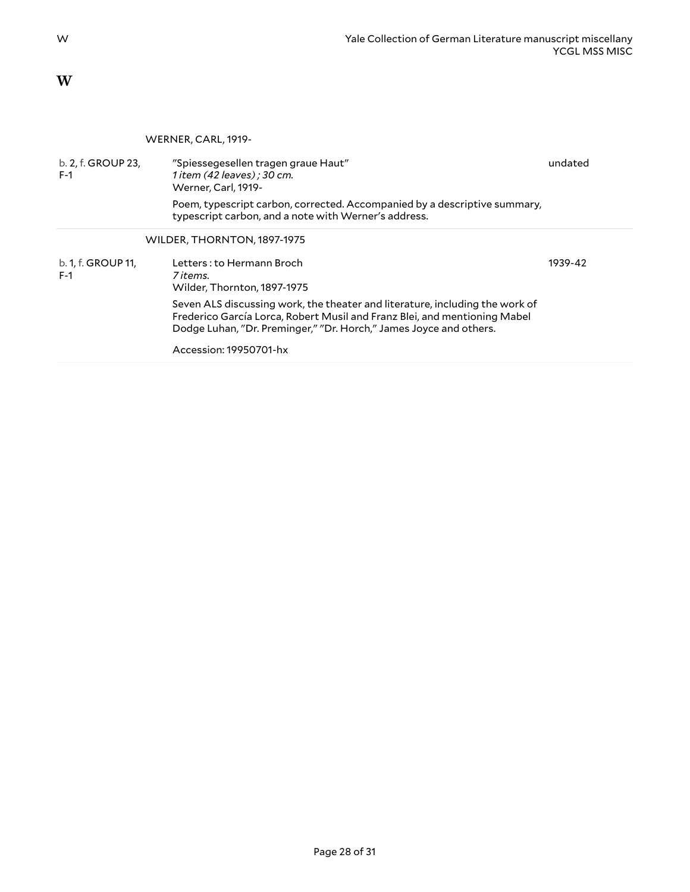<span id="page-27-0"></span>**W**

#### <span id="page-27-2"></span><span id="page-27-1"></span>WERNER, CARL, 1919-

| b. 2, f. GROUP 23,<br>$F-1$ | "Spiessegesellen tragen graue Haut"<br>1 item (42 leaves) ; 30 cm.<br>Werner, Carl, 1919-                                                                                                                                       | undated |
|-----------------------------|---------------------------------------------------------------------------------------------------------------------------------------------------------------------------------------------------------------------------------|---------|
|                             | Poem, typescript carbon, corrected. Accompanied by a descriptive summary,<br>typescript carbon, and a note with Werner's address.                                                                                               |         |
|                             | WILDER, THORNTON, 1897-1975                                                                                                                                                                                                     |         |
| b. 1, f. GROUP 11,<br>$F-1$ | Letters: to Hermann Broch<br>7 items.<br>Wilder, Thornton, 1897-1975                                                                                                                                                            | 1939-42 |
|                             | Seven ALS discussing work, the theater and literature, including the work of<br>Frederico García Lorca, Robert Musil and Franz Blei, and mentioning Mabel<br>Dodge Luhan, "Dr. Preminger," "Dr. Horch," James Joyce and others. |         |
|                             | Accession: 19950701-hx                                                                                                                                                                                                          |         |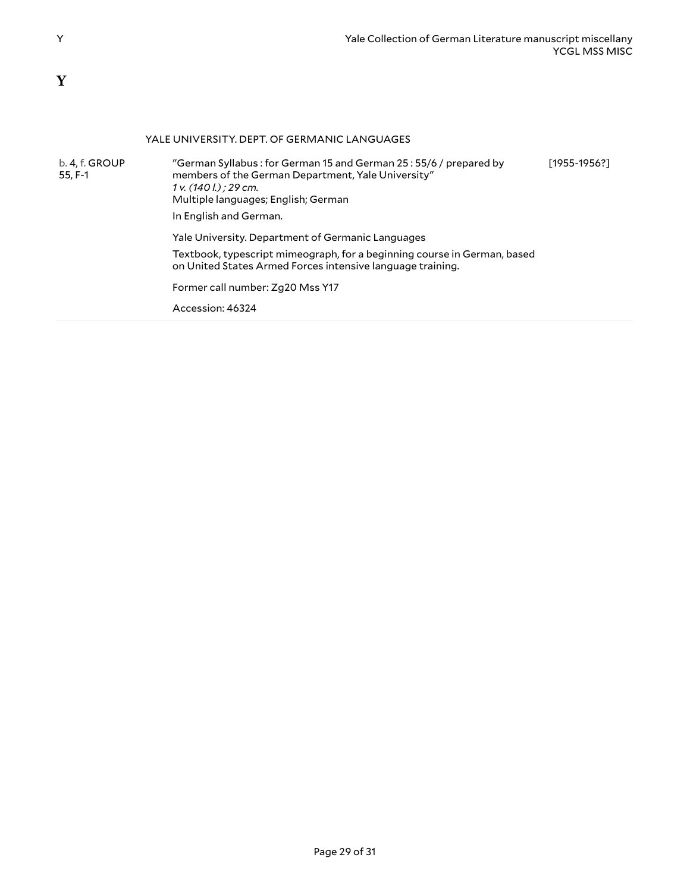### <span id="page-28-0"></span>**Y**

#### <span id="page-28-1"></span>YALE UNIVERSITY. DEPT. OF GERMANIC LANGUAGES b. 4, f. GROUP 55, F-1 "German Syllabus : for German 15 and German 25 : 55/6 / prepared by members of the German Department, Yale University" *1 v. (140 l.) ; 29 cm.* Multiple languages; English; German In English and German. [1955-1956?]

Yale University. Department of Germanic Languages

Textbook, typescript mimeograph, for a beginning course in German, based on United States Armed Forces intensive language training.

Former call number: Zg20 Mss Y17

Accession: 46324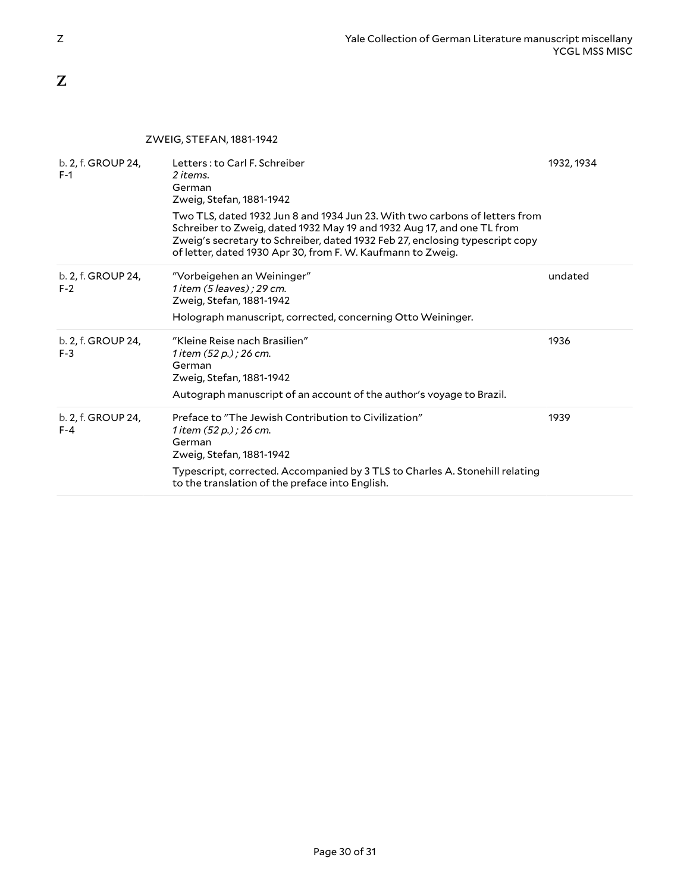<span id="page-29-0"></span>**Z**

#### <span id="page-29-1"></span>ZWEIG, STEFAN, 1881-1942

| b. 2, f. GROUP 24,<br>$F-1$   | Letters: to Carl F. Schreiber<br>2 items.<br>German<br>Zweig, Stefan, 1881-1942<br>Two TLS, dated 1932 Jun 8 and 1934 Jun 23. With two carbons of letters from<br>Schreiber to Zweig, dated 1932 May 19 and 1932 Aug 17, and one TL from<br>Zweig's secretary to Schreiber, dated 1932 Feb 27, enclosing typescript copy<br>of letter, dated 1930 Apr 30, from F. W. Kaufmann to Zweig. | 1932, 1934 |
|-------------------------------|-----------------------------------------------------------------------------------------------------------------------------------------------------------------------------------------------------------------------------------------------------------------------------------------------------------------------------------------------------------------------------------------|------------|
| b. 2, f. GROUP 24,<br>$F-2$   | "Vorbeigehen an Weininger"<br>$1$ item $(5$ leaves); 29 cm.<br>Zweig, Stefan, 1881-1942<br>Holograph manuscript, corrected, concerning Otto Weininger.                                                                                                                                                                                                                                  | undated    |
| b. 2, f. GROUP 24,<br>$F-3$   | "Kleine Reise nach Brasilien"<br>1 item (52 p.) ; 26 cm.<br>German<br>Zweig, Stefan, 1881-1942<br>Autograph manuscript of an account of the author's voyage to Brazil.                                                                                                                                                                                                                  | 1936       |
| b. 2, f. GROUP 24,<br>$F - 4$ | Preface to "The Jewish Contribution to Civilization"<br>1 item (52 p.) ; 26 cm.<br>German<br>Zweig, Stefan, 1881-1942<br>Typescript, corrected. Accompanied by 3 TLS to Charles A. Stonehill relating<br>to the translation of the preface into English.                                                                                                                                | 1939       |